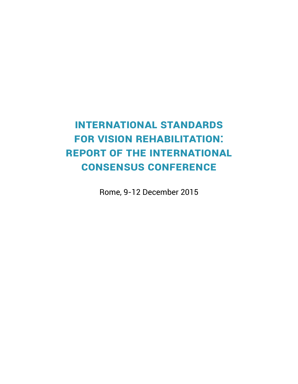# **International Standards for Vision Rehabilitation: report of the International consensus Conference**

Rome, 9-12 December 2015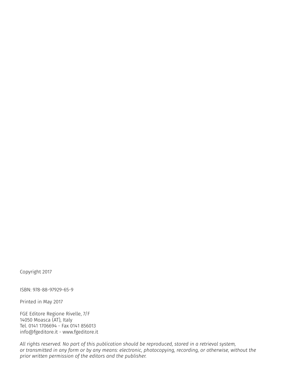Copyright 2017

ISBN: 978-88-97929-65-9

Printed in May 2017

FGE Editore Regione Rivelle, 7/F 14050 Moasca (AT), Italy Tel. 0141 1706694 - Fax 0141 856013 info@fgeditore.it - www.fgeditore.it

*All rights reserved. No part of this publication should be reproduced, stored in a retrieval system, or transmitted in any form or by any means: electronic, photocopying, recording, or otherwise, without the prior written permission of the editors and the publisher.*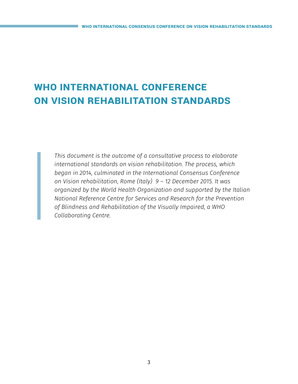### **WHO international conference on vision rehabilitation standards**

*This document is the outcome of a consultative process to elaborate international standards on vision rehabilitation. The process, which began in 2014, culminated in the International Consensus Conference on Vision rehabilitation, Rome (Italy) 9 – 12 December 2015. It was organized by the World Health Organization and supported by the Italian National Reference Centre for Services and Research for the Prevention of Blindness and Rehabilitation of the Visually Impaired, a WHO Collaborating Centre.*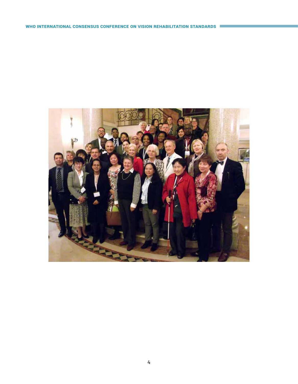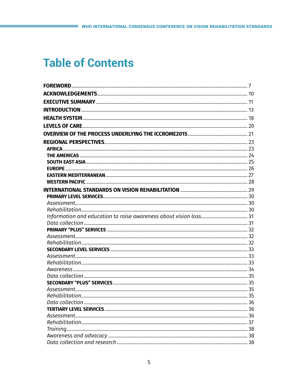# **Table of Contents**

**Contract Contract**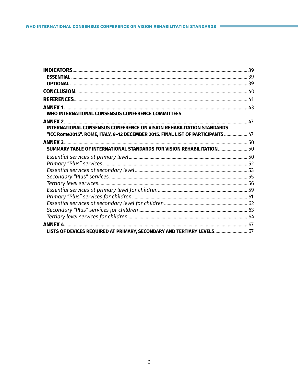| WHO INTERNATIONAL CONSENSUS CONFERENCE COMMITTEES                               |  |
|---------------------------------------------------------------------------------|--|
|                                                                                 |  |
| <b>INTERNATIONAL CONSENSUS CONFERENCE ON VISION REHABILITATION STANDARDS</b>    |  |
| "ICC Rome2015". ROME, ITALY, 9-12 DECEMBER 2015. FINAL LIST OF PARTICIPANTS  47 |  |
|                                                                                 |  |
| SUMMARY TABLE OF INTERNATIONAL STANDARDS FOR VISION REHABILITATION 50           |  |
|                                                                                 |  |
|                                                                                 |  |
|                                                                                 |  |
|                                                                                 |  |
|                                                                                 |  |
|                                                                                 |  |
|                                                                                 |  |
|                                                                                 |  |
|                                                                                 |  |
|                                                                                 |  |
|                                                                                 |  |
| LISTS OF DEVICES REQUIRED AT PRIMARY, SECONDARY AND TERTIARY LEVELS 67          |  |
|                                                                                 |  |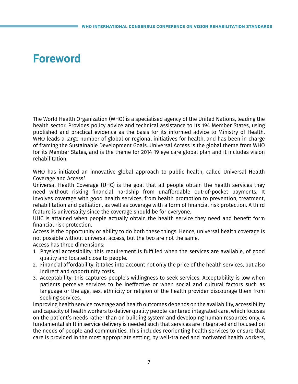## **Foreword**

The World Health Organization (WHO) is a specialised agency of the United Nations, leading the health sector. Provides policy advice and technical assistance to its 194 Member States, using published and practical evidence as the basis for its informed advice to Ministry of Health. WHO leads a large number of global or regional initiatives for health, and has been in charge of framing the Sustainable Development Goals. Universal Access is the global theme from WHO for its Member States, and is the theme for 2014-19 eye care global plan and it includes vision rehabilitation.

WHO has initiated an innovative global approach to public health, called Universal Health Coverage and Access.1

Universal Health Coverage (UHC) is the goal that all people obtain the health services they need without risking financial hardship from unaffordable out-of-pocket payments. It involves coverage with good health services, from health promotion to prevention, treatment, rehabilitation and palliation, as well as coverage with a form of financial risk protection. A third feature is universality since the coverage should be for everyone.

UHC is attained when people actually obtain the health service they need and benefit form financial risk protection.

Access is the opportunity or ability to do both these things. Hence, universal health coverage is not possible without universal access, but the two are not the same.

Access has three dimensions:

- 1. Physical accessibility: this requirement is fulfilled when the services are available, of good quality and located close to people.
- 2. Financial affordability: it takes into account not only the price of the health services, but also indirect and opportunity costs.
- 3. Acceptability: this captures people's willingness to seek services. Acceptability is low when patients perceive services to be ineffective or when social and cultural factors such as language or the age, sex, ethnicity or religion of the health provider discourage them from seeking services.

Improving health service coverage and health outcomes depends on the availability, accessibility and capacity of health workers to deliver quality people-centered integrated care, which focuses on the patient's needs rather than on building system and developing human resources only. A fundamental shift in service delivery is needed such that services are integrated and focused on the needs of people and communities. This includes reorienting health services to ensure that care is provided in the most appropriate setting, by well-trained and motivated health workers,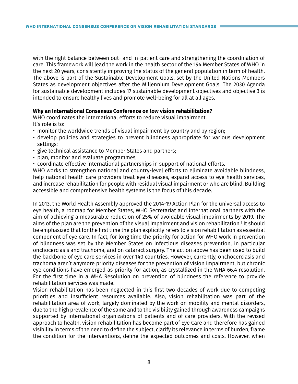with the right balance between out- and in-patient care and strengthening the coordination of care. This framework will lead the work in the health sector of the 194 Member States of WHO in the next 20 years, consistently improving the status of the general population in term of health. The above is part of the Sustainable Development Goals, set by the United Nations Members States as development objectives after the Millennium Development Goals. The 2030 Agenda for sustainable development includes 17 sustainable development objectives and objective 3 is intended to ensure healthy lives and promote well-being for all at all ages.

#### **Why an International Consensus Conference on low vision rehabilitation?**

WHO coordinates the international efforts to reduce visual impairment. It's role is to:

- monitor the worldwide trends of visual impairment by country and by region;
- develop policies and strategies to prevent blindness appropriate for various development settings;
- give technical assistance to Member States and partners;
- plan, monitor and evaluate programmes;
- coordinate effective international partnerships in support of national efforts.

WHO works to strengthen national and country-level efforts to eliminate avoidable blindness, help national health care providers treat eye diseases, expand access to eye health services, and increase rehabilitation for people with residual visual impairment or who are blind. Building accessible and comprehensive health systems is the focus of this decade.

In 2013, the World Health Assembly approved the 2014-19 Action Plan for the universal access to eye health, a rodmap for Member States, WHO Secretariat and international partners with the aim of achieving a measurable reduction of 25% of avoidable visual impairments by 2019. The aims of the plan are the prevention of the visual impairment and vision rehabilitation.2 It should be emphasized that for the first time the plan explicitly refers to vision rehabilitation as essential component of eye care. In fact, for long time the priority for action for WHO work in prevention of blindness was set by the Member States on infectious diseases prevention, in particular onchocerciasis and trachoma, and on cataract surgery. The action above has been used to build the backbone of eye care services in over 140 countries. However, currently, onchocerciasis and trachoma aren't anymore priority diseases for the prevention of vision impairment, but chronic eye conditions have emerged as priority for action, as crystallized in the WHA 66.4 resolution. For the first time in a WHA Resolution on prevention of blindness the reference to provide rehabilitation services was made.

Vision rehabilitation has been neglected in this first two decades of work due to competing priorities and insufficient resources available. Also, vision rehabilitation was part of the rehabilitation area of work, largely dominated by the work on mobility and mental disorders, due to the high prevalence of the same and to the visibility gained through awareness campaigns supported by international organizations of patients and of care providers. With the revised approach to health, vision rehabilitation has become part of Eye Care and therefore has gained visibility in terms of the need to define the subject, clarify its relevance in terms of burden, frame the condition for the interventions, define the expected outcomes and costs. However, when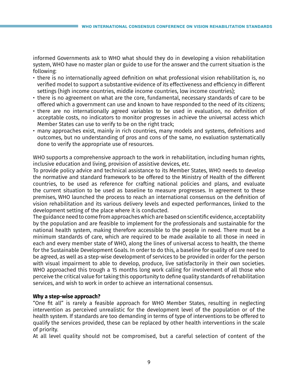informed Governments ask to WHO what should they do in developing a vision rehabilitation system, WHO have no master plan or guide to use for the answer and the current situation is the following:

- there is no internationally agreed definition on what professional vision rehabilitation is, no verified model to support a substantive evidence of its effectiveness and efficiency in different settings (high income countries, middle income countries, low income countries);
- there is no agreement on what are the core, fundamental, necessary standards of care to be offered which a government can use and known to have responded to the need of its citizens;
- there are no internationally agreed variables to be used in evaluation, no definition of acceptable costs, no indicators to monitor progresses in achieve the universal access which Member States can use to verify to be on the right track;
- many approaches exist, mainly in rich countries, many models and systems, definitions and outcomes, but no understanding of pros and cons of the same, no evaluation systematically done to verify the appropriate use of resources.

WHO supports a comprehensive approach to the work in rehabilitation, including human rights, inclusive education and living, provision of assistive devices, etc.

To provide policy advice and technical assistance to its Member States, WHO needs to develop the normative and standard framework to be offered to the Ministry of Health of the different countries, to be used as reference for crafting national policies and plans, and evaluate the current situation to be used as baseline to measure progresses. In agreement to these premises, WHO launched the process to reach an international consensus on the definition of vision rehabilitation and its various delivery levels and expected performances, linked to the development setting of the place where it is conducted.

The guidance need to come from approaches which are based on scientific evidence, acceptability by the population and are feasible to implement for the professionals and sustainable for the national health system, making therefore accessible to the people in need. There must be a minimum standards of care, which are required to be made available to all those in need in each and every member state of WHO, along the lines of universal access to health, the theme for the Sustainable Development Goals. In order to do this, a baseline for quality of care need to be agreed, as well as a step-wise development of services to be provided in order for the person with visual impairment to able to develop, produce, live satisfactorily in their own societies. WHO approached this trough a 15 months long work calling for involvement of all those who perceive the critical value for taking this opportunity to define quality standards of rehabilitation services, and wish to work in order to achieve an international consensus.

#### **Why a step-wise approach?**

"One fit all" is rarely a feasible approach for WHO Member States, resulting in neglecting intervention as perceived unrealistic for the development level of the population or of the health system. If standards are too demanding in terms of type of interventions to be offered to qualify the services provided, these can be replaced by other health interventions in the scale of priority.

At all level quality should not be compromised, but a careful selection of content of the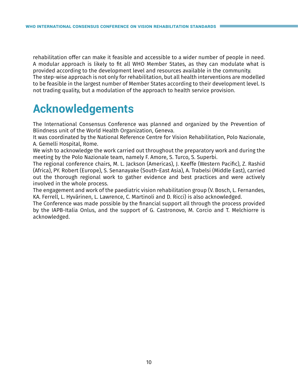rehabilitation offer can make it feasible and accessible to a wider number of people in need. A modular approach is likely to fit all WHO Member States, as they can modulate what is provided according to the development level and resources available in the community. The step-wise approach is not only for rehabilitation, but all health interventions are modelled to be feasible in the largest number of Member States according to their development level. Is not trading quality, but a modulation of the approach to health service provision.

## **Acknowledgements**

The International Consensus Conference was planned and organized by the Prevention of Blindness unit of the World Health Organization, Geneva.

It was coordinated by the National Reference Centre for Vision Rehabilitation, Polo Nazionale, A. Gemelli Hospital, Rome.

We wish to acknowledge the work carried out throughout the preparatory work and during the meeting by the Polo Nazionale team, namely F. Amore, S. Turco, S. Superbi.

The regional conference chairs, M. L. Jackson (Americas), J. Keeffe (Western Pacific), Z. Rashid (Africa), PY. Robert (Europe), S. Senanayake (South-East Asia), A. Trabelsi (Middle East), carried out the thorough regional work to gather evidence and best practices and were actively involved in the whole process.

The engagement and work of the paediatric vision rehabilitation group (V. Bosch, L. Fernandes, KA. Ferrell, L. Hyvärinen, L. Lawrence, C. Martinoli and D. Ricci) is also acknowledged.

The Conference was made possible by the financial support all through the process provided by the IAPB-Italia Onlus, and the support of G. Castronovo, M. Corcio and T. Melchiorre is acknowledged.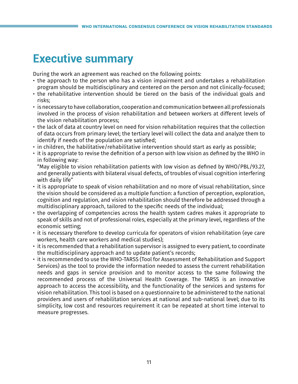# **Executive summary**

During the work an agreement was reached on the following points:

- the approach to the person who has a vision impairment and undertakes a rehabilitation program should be multidisciplinary and centered on the person and not clinically-focused;
- the rehabilitative intervention should be tiered on the basis of the individual goals and risks;
- is necessary to have collaboration, cooperation and communication between all professionals involved in the process of vision rehabilitation and between workers at different levels of the vision rehabilitation process;
- the lack of data at country level on need for vision rehabilitation requires that the collection of data occurs from primary level; the tertiary level will collect the data and analyze them to identify if needs of the population are satisfied;
- in children, the habilitative/rehabilitative intervention should start as early as possible;
- it is appropriate to revise the definition of a person with low vision as defined by the WHO in in following way:

"May eligible to vision rehabilitation patients with low vision as defined by WHO/PBL/93.27, and generally patients with bilateral visual defects, of troubles of visual cognition interfering with daily life"

- it is appropriate to speak of vision rehabilitation and no more of visual rehabilitation, since the vision should be considered as a multiple function: a function of perception, exploration, cognition and regulation, and vision rehabilitation should therefore be addressed through a multidisciplinary approach, tailored to the specific needs of the individual;
- the overlapping of competencies across the health system cadres makes it appropriate to speak of skills and not of professional roles, especially at the primary level, regardless of the economic setting;
- it is necessary therefore to develop curricula for operators of vision rehabilitation (eye care workers, health care workers and medical studies);
- it is recommended that a rehabilitation supervisor is assigned to every patient, to coordinate the multidisciplinary approach and to update patient's records;
- it is recommended to use the WHO-TARSS (Tool for Assessment of Rehabilitation and Support Services) as the tool to provide the information needed to assess the current rehabilitation needs and gaps in service provision and to monitor access to the same following the recommended process of the Universal Health Coverage. The TARSS is an innovative approach to access the accessibility, and the functionality of the services and systems for vision rehabilitation. This tool is based on a questionnaire to be administered to the national providers and users of rehabilitation services at national and sub-national level; due to its simplicity, low cost and resources requirement it can be repeated at short time interval to measure progresses.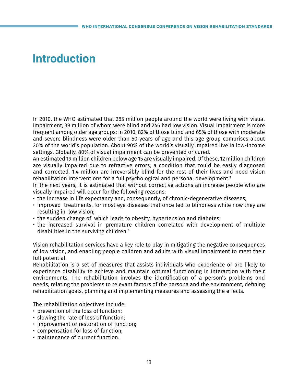# **Introduction**

In 2010, the WHO estimated that 285 million people around the world were living with visual impairment, 39 million of whom were blind and 246 had low vision. Visual impairment is more frequent among older age groups: in 2010, 82% of those blind and 65% of those with moderate and severe blindness were older than 50 years of age and this age group comprises about 20% of the world's population. About 90% of the world's visually impaired live in low-income settings. Globally, 80% of visual impairment can be prevented or cured.

An estimated 19 million children below age 15 are visually impaired. Of these, 12 million children are visually impaired due to refractive errors, a condition that could be easily diagnosed and corrected. 1.4 million are irreversibly blind for the rest of their lives and need vision rehabilitation interventions for a full psychological and personal development.3

In the next years, it is estimated that without corrective actions an increase people who are visually impaired will occur for the following reasons:

- the increase in life expectancy and, consequently, of chronic-degenerative diseases;
- improved treatments, for most eye diseases that once led to blindness while now they are resulting in low vision;
- the sudden change of which leads to obesity, hypertension and diabetes;
- the increased survival in premature children correlated with development of multiple disabilities in the surviving children.4

Vision rehabilitation services have a key role to play in mitigating the negative consequences of low vision, and enabling people children and adults with visual impairment to meet their full potential.

Rehabilitation is a set of measures that assists individuals who experience or are likely to experience disability to achieve and maintain optimal functioning in interaction with their environments. The rehabilitation involves the identification of a person's problems and needs, relating the problems to relevant factors of the persona and the environment, defining rehabilitation goals, planning and implementing measures and assessing the effects.

The rehabilitation objectives include:

- prevention of the loss of function;
- slowing the rate of loss of function;
- improvement or restoration of function;
- compensation for loss of function;
- maintenance of current function.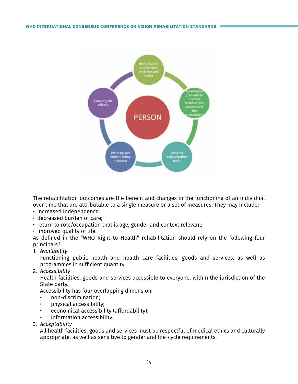

The rehabilitation outcomes are the benefit and changes in the functioning of an individual over time that are attributable to a single measure or a set of measures. They may include:

- increased independence;
- decreased burden of care;
- return to role/occupation that is age, gender and context relevant;
- improved quality of life.

As defined in the "WHO Right to Health" rehabilitation should rely on the following four principals:5

1. *Availability*

Functioning public health and health care facilities, goods and services, as well as programmes in sufficient quantity.

2. *Accessibility*

Health facilities, goods and services accessible to everyone, within the jurisdiction of the State party.

Accessibility has four overlapping dimension:

- non-discrimination;
- physical accessibility;
- economical accessibility (affordability);
- information accessibility.
- 3. *Acceptability*

All health facilities, goods and services must be respectful of medical ethics and culturally appropriate, as well as sensitive to gender and life-cycle requirements.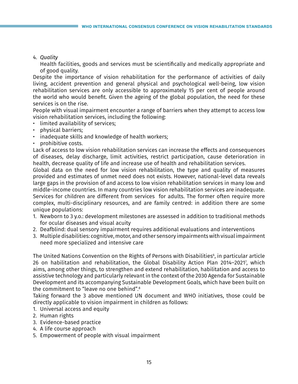#### 4. *Quality*

Health facilities, goods and services must be scientifically and medically appropriate and of good quality.

Despite the importance of vision rehabilitation for the performance of activities of daily living, accident prevention and general physical and psychological well-being, low vision rehabilitation services are only accessible to approximately 15 per cent of people around the world who would benefit. Given the ageing of the global population, the need for these services is on the rise.

People with visual impairment encounter a range of barriers when they attempt to access low vision rehabilitation services, including the following:

- limited availability of services;
- physical barriers;
- inadequate skills and knowledge of health workers;
- prohibitive costs.

Lack of access to low vision rehabilitation services can increase the effects and consequences of diseases, delay discharge, limit activities, restrict participation, cause deterioration in health, decrease quality of life and increase use of health and rehabilitation services.

Global data on the need for low vision rehabilitation, the type and quality of measures provided and estimates of unmet need does not exists. However, national-level data reveals large gaps in the provision of and access to low vision rehabilitation services in many low and middle-income countries. In many countries low vision rehabilitation services are inadequate. Services for children are different from services for adults. The former often require more complex, multi-disciplinary resources, and are family centred: in addition there are some unique populations:

- 1. Newborn to 3 y.o.: development milestones are assessed in addition to traditional methods for ocular diseases and visual acuity
- 2. Deafblind: dual sensory impairment requires additional evaluations and interventions
- 3. Multiple disabilities: cognitive, motor, and other sensory impairments with visual impairment need more specialized and intensive care

The United Nations Convention on the Rights of Persons with Disabilities<sup>6</sup>, in particular article 26 on habilitation and rehabilitation, the Global Disability Action Plan 2014–20217 , which aims, among other things, to strengthen and extend rehabilitation, habilitation and access to assistive technology and particularly relevant in the context of the 2030 Agenda for Sustainable Development and its accompanying Sustainable Development Goals, which have been built on the commitment to "leave no one behind".8

Taking forward the 3 above mentioned UN document and WHO initiatives, those could be directly applicable to vision impairment in children as follows:

- 1. Universal access and equity
- 2. Human rights
- 3. Evidence-based practice
- 4. A life course approach
- 5. Empowerment of people with visual impairment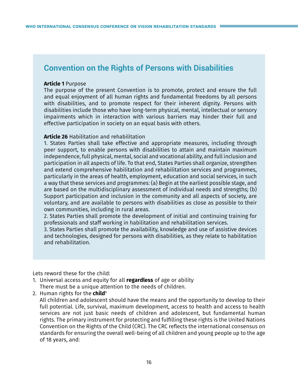### **Convention on the Rights of Persons with Disabilities**

#### **Article 1** Purpose

The purpose of the present Convention is to promote, protect and ensure the full and equal enjoyment of all human rights and fundamental freedoms by all persons with disabilities, and to promote respect for their inherent dignity. Persons with disabilities include those who have long-term physical, mental, intellectual or sensory impairments which in interaction with various barriers may hinder their full and effective participation in society on an equal basis with others.

#### **Article 26** Habilitation and rehabilitation

1. States Parties shall take effective and appropriate measures, including through peer support, to enable persons with disabilities to attain and maintain maximum independence, full physical, mental, social and vocational ability, and full inclusion and participation in all aspects of life. To that end, States Parties shall organize, strengthen and extend comprehensive habilitation and rehabilitation services and programmes, particularly in the areas of health, employment, education and social services, in such a way that these services and programmes: (a) Begin at the earliest possible stage, and are based on the multidisciplinary assessment of individual needs and strengths; (b) Support participation and inclusion in the community and all aspects of society, are voluntary, and are available to persons with disabilities as close as possible to their own communities, including in rural areas.

2. States Parties shall promote the development of initial and continuing training for professionals and staff working in habilitation and rehabilitation services.

3. States Parties shall promote the availability, knowledge and use of assistive devices and technologies, designed for persons with disabilities, as they relate to habilitation and rehabilitation.

Lets reword these for the child:

- 1. Universal access and equity for all **regardless** of age or ability There must be a unique attention to the needs of children.
- 2. Human rights for the **child**<sup>9</sup>

All children and adolescent should have the means and the opportunity to develop to their full potential. Life, survival, maximum development, access to health and access to health services are not just basic needs of children and adolescent, but fundamental human rights. The primary instrument for protecting and fulfilling these rights is the United Nations Convention on the Rights of the Child (CRC). The CRC reflects the international consensus on standards for ensuring the overall well-being of all children and young people up to the age of 18 years, and: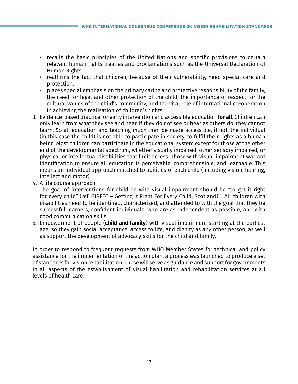- recalls the basic principles of the United Nations and specific provisions to certain relevant human rights treaties and proclamations such as the Universal Declaration of Human Rights;
- reaffirms the fact that children, because of their vulnerability, need special care and protection;
- places special emphasis on the primary caring and protective responsibility of the family, the need for legal and other protection of the child, the importance of respect for the cultural values of the child's community, and the vital role of international co-operation in achieving the realisation of children's rights.
- 3. Evidence-based practice for early intervention and accessible education **for all**. Children can only learn from what they see and hear. If they do not see or hear as others do, they cannot learn. So all education and teaching much then be made accessible, if not, the individual (in this case the child) is not able to participate in society, to fulfil their rights as a human being. Most children can participate in the educational system except for those at the other end of the developmental spectrum, whether visually impaired, other sensory impaired, or physical or intellectual disabilities that limit access. Those with visual impairment warrant identification to ensure all education is perceivable, comprehensible, and learnable. This means an individual approach matched to abilities of each child (including vision, hearing, intellect and motor).
- 4. A life course approach

The goal of interventions for children with visual impairment should be "to get it right for every child" (ref. GIRFEC – Getting It Right For Every Child, Scotland)<sup>10</sup>. All children with disabilities need to be identified, characterized, and attended to with the goal that they be successful learners, confident individuals, who are as independent as possible, and with good communication skills.

5. Empowerment of people (**child and family**) with visual impairment starting at the earliest age, so they gain social acceptance, access to life, and dignity as any other person, as well as support the development of advocacy skills for the child and family.

In order to respond to frequent requests from WHO Member States for technical and policy assistance for the implementation of the action plan, a process was launched to produce a set of standards for vision rehabilitation. These will serve as guidance and support for governments in all aspects of the establishment of visual habilitation and rehabilitation services at all levels of health care.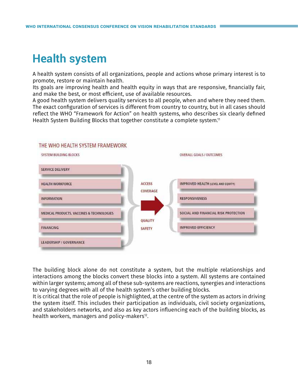# **Health system**

A health system consists of all organizations, people and actions whose primary interest is to promote, restore or maintain health.

Its goals are improving health and health equity in ways that are responsive, financially fair, and make the best, or most efficient, use of available resources.

A good health system delivers quality services to all people, when and where they need them. The exact configuration of services is different from country to country, but in all cases should reflect the WHO "Framework for Action" on health systems, who describes six clearly defined Health System Building Blocks that together constitute a complete system.<sup>11</sup>



The building block alone do not constitute a system, but the multiple relationships and interactions among the blocks convert these blocks into a system. All systems are contained within larger systems; among all of these sub-systems are reactions, synergies and interactions to varying degrees with all of the health system's other building blocks.

It is critical that the role of people is highlighted, at the centre of the system as actors in driving the system itself. This includes their participation as individuals, civil society organizations, and stakeholders networks, and also as key actors influencing each of the building blocks, as health workers, managers and policy-makers<sup>12</sup>.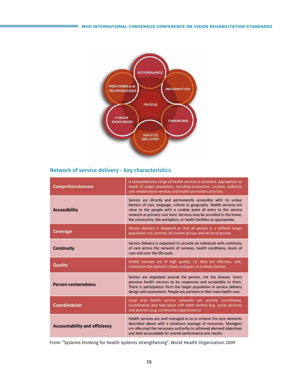

#### **Network of service delivery - Key characteristics**

| <b>Comprehensiveness</b>             | A comprehensive range of health services is provided, appropriate to<br>needs of target population, including preventive, curative, palliative,<br>and rehabilitative services and health promotion activities.                                                                                                                                          |
|--------------------------------------|----------------------------------------------------------------------------------------------------------------------------------------------------------------------------------------------------------------------------------------------------------------------------------------------------------------------------------------------------------|
| <b>Accessibility</b>                 | Service are directly and permanently accessible with no undue<br>barriers of cost, language, culture or geography. Health services are<br>close to the people with a routine point of entry to the service<br>network at primary care level. Services may be provided in the home,<br>the community, the workplace, or health facilities as appropriate. |
| Coverage                             | Service delivery is designed so that all people in a defined target<br>population are covered, all income groups and all social groups.                                                                                                                                                                                                                  |
| <b>Continuity</b>                    | Service delivery is organized to provide an individual with continuity<br>of care across the network of services, health conditions, levels of<br>care and over the life-cycle.                                                                                                                                                                          |
| <b>Quality</b>                       | Health services are of high quality, i.e. they are effective, safe,<br>centred on the patient's needs and given in a timely fashion                                                                                                                                                                                                                      |
| <b>Person-centeredness</b>           | Service are organized around the person, not the disease. Users<br>perceive health services to be responsive and acceptable to them.<br>There is participation from the target population in service delivery<br>design and assessment. People are partners in their own health care.                                                                    |
| Coordination                         | Local area health service networks are actively coordinated.<br>Coordination also take place with other sectors (e.g. social services)<br>and partners (e.g. community organizations)                                                                                                                                                                    |
| <b>Accountability and efficiency</b> | Health services are well managed so as to achieve the core elements<br>described above with a minimum wastage of resources. Managers<br>are allocated the necessary authority to achieved planned objectives<br>and held accountable for overall performance and results.                                                                                |

From: "Systems thinking for health systems strengthening". World Health Organization 2009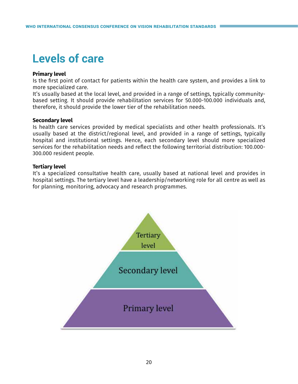# **Levels of care**

#### **Primary level**

Is the first point of contact for patients within the health care system, and provides a link to more specialized care.

It's usually based at the local level, and provided in a range of settings, typically communitybased setting. It should provide rehabilitation services for 50.000-100.000 individuals and, therefore, it should provide the lower tier of the rehabilitation needs.

#### **Secondary level**

Is health care services provided by medical specialists and other health professionals. It's usually based at the district/regional level, and provided in a range of settings, typically hospital and institutional settings. Hence, each secondary level should more specialized services for the rehabilitation needs and reflect the following territorial distribution: 100.000- 300.000 resident people.

#### **Tertiary level**

It's a specialized consultative health care, usually based at national level and provides in hospital settings. The tertiary level have a leadership/networking role for all centre as well as for planning, monitoring, advocacy and research programmes.

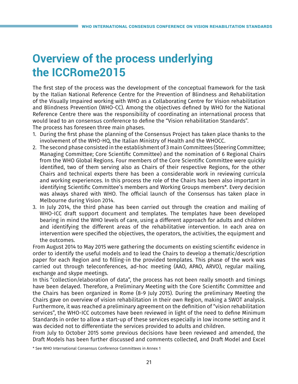# **Overview of the process underlying the ICCRome2015**

The first step of the process was the development of the conceptual framework for the task by the Italian National Reference Centre for the Prevention of Blindness and Rehabilitation of the Visually Impaired working with WHO as a Collaborating Centre for Vision rehabilitation and Blindness Prevention (WHO-CC). Among the objectives defined by WHO for the National Reference Centre there was the responsibility of coordinating an international process that would lead to an consensus conference to define the "Vision rehabilitation Standards". The process has foreseen three main phases.

- 1. During the first phase the planning of the Consensus Project has taken place thanks to the involvement of the WHO-HQ, the Italian Ministry of Health and the WHOCC.
- 2. The second phase consisted in the establishment of 3 main Committees (Steering Committee; Managing Committee; Core Scientific Committee) and the nomination of 6 Regional Chairs from the WHO Global Regions. Four members of the Core Scientific Committee were quickly identified, two of them serving also as Chairs of their respective Regions, for the other Chairs and technical experts there has been a considerable work in reviewing curricula and working experiences. In this process the role of the Chairs has been also important in identifying Scientific Committee's members and Working Groups members\*. Every decision was always shared with WHO. The official launch of the Consensus has taken place in Melbourne during Vision 2014.
- 3. In July 2014, the third phase has been carried out through the creation and mailing of WHO-ICC draft support document and templates. The templates have been developed bearing in mind the WHO levels of care, using a different approach for adults and children and identifying the different areas of the rehabilitative intervention. In each area on intervention were specified the objectives, the operators, the activities, the equipment and the outcomes.

From August 2014 to May 2015 were gathering the documents on existing scientific evidence in order to identify the useful models and to lead the Chairs to develop a thematic/description paper for each Region and to filling-in the provided templates. This phase of the work was carried out through teleconferences, ad-hoc meeting (AAO, APAO, ARVO), regular mailing, exchange and skype meetings.

In this "collection/elaboration of data", the process has not been really smooth and timings have been delayed. Therefore, a Preliminary Meeting with the Core Scientific Committee and the Chairs has been organized in Rome (8-9 July 2015). During the preliminary Meeting the Chairs gave on overview of vision rehabilitation in their own Region, making a SWOT analysis. Furthermore, it was reached a preliminary agreement on the definition of "vision rehabilitation services", the WHO-ICC outcomes have been reviewed in light of the need to define Minimum Standards in order to allow a start-up of these services especially in low income setting and it was decided not to differentiate the services provided to adults and children.

From July to October 2015 some previous decisions have been reviewed and amended, the Draft Models has been further discussed and comments collected, and Draft Model and Excel

\* See WHO International Consensus Conference Committees in Annex 1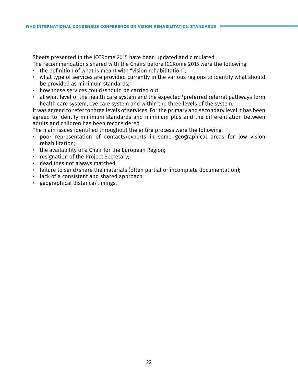Sheets presented in the ICCRome 2015 have been updated and circulated.

- The recommendations shared with the Chairs before ICCRome 2015 were the following:
- the definition of what is meant with "vision rehabilitation";
- what type of services are provided currently in the various regions to identify what should be provided as minimum standards;
- how these services could/should be carried out;
- at what level of the health care system and the expected/preferred referral pathways form health care system, eye care system and within the three levels of the system.

It was agreed to refer to three levels of services. For the primary and secondary level it has been agreed to identify minimum standards and minimum plus and the differentiation between adults and children has been reconsidered.

The main issues identified throughout the entire process were the following:

- poor representation of contacts/experts in some geographical areas for low vision rehabilitation;
- the availability of a Chair for the European Region;
- resignation of the Project Secretary;
- deadlines not always matched;
- failure to send/share the materials (often partial or incomplete documentation);
- lack of a consistent and shared approach;
- geographical distance/timings.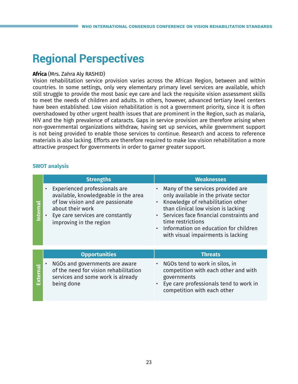# **Regional Perspectives**

#### **Africa** (Mrs. Zahra Aly RASHID)

Vision rehabilitation service provision varies across the African Region, between and within countries. In some settings, only very elementary primary level services are available, which still struggle to provide the most basic eye care and lack the requisite vision assessment skills to meet the needs of children and adults. In others, however, advanced tertiary level centers have been established. Low vision rehabilitation is not a government priority, since it is often overshadowed by other urgent health issues that are prominent in the Region, such as malaria, HIV and the high prevalence of cataracts. Gaps in service provision are therefore arising when non-governmental organizations withdraw, having set up services, while government support is not being provided to enable those services to continue. Research and access to reference materials is also lacking. Efforts are therefore required to make low vision rehabilitation a more attractive prospect for governments in order to garner greater support.

|        | <b>Strengths</b>                                                                                                                                                                             | <b>Weaknesses</b>                                                                                                                                                                                                                                                                                      |
|--------|----------------------------------------------------------------------------------------------------------------------------------------------------------------------------------------------|--------------------------------------------------------------------------------------------------------------------------------------------------------------------------------------------------------------------------------------------------------------------------------------------------------|
| nterna | Experienced professionals are<br>available, knowledgeable in the area<br>of low vision and are passionate<br>about their work<br>Eye care services are constantly<br>improving in the region | Many of the services provided are<br>only available in the private sector<br>Knowledge of rehabilitation other<br>than clinical low vision is lacking<br>Services face financial constraints and<br>time restrictions<br>• Information on education for children<br>with visual impairments is lacking |
|        |                                                                                                                                                                                              |                                                                                                                                                                                                                                                                                                        |
|        | <b>Opportunities</b>                                                                                                                                                                         | <b>Threats</b>                                                                                                                                                                                                                                                                                         |
| ternal | NGOs and governments are aware<br>of the need for vision rehabilitation<br>services and some work is already<br>being done                                                                   | NGOs tend to work in silos, in<br>competition with each other and with<br>governments<br>Eye care professionals tend to work in<br>competition with each other                                                                                                                                         |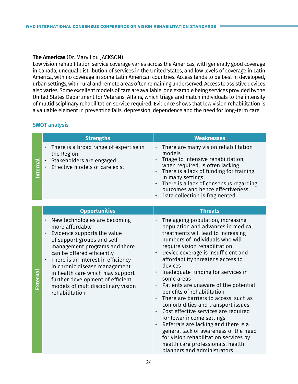#### **The Americas** (Dr. Mary Lou JACKSON)

Low vision rehabilitation service coverage varies across the Americas, with generally good coverage in Canada, unequal distribution of services in the United States, and low levels of coverage in Latin America, with no coverage in some Latin American countries. Access tends to be best in developed, urban settings, with rural and remote areas often remaining underserved. Access to assistive devices also varies. Some excellent models of care are available, one example being services provided by the United States Department for Veterans' Affairs, which triage and match individuals to the intensity of multidisciplinary rehabilitation service required. Evidence shows that low vision rehabilitation is a valuable element in preventing falls, depression, dependence and the need for long-term care.

|          | <b>Strengths</b>                                                                                                                                                                                                                                                                                                                                                                                  | <b>Weaknesses</b>                                                                                                                                                                                                                                                                                                                                                                                                                                                                                                                                                                                                                                                                                                                                                                            |
|----------|---------------------------------------------------------------------------------------------------------------------------------------------------------------------------------------------------------------------------------------------------------------------------------------------------------------------------------------------------------------------------------------------------|----------------------------------------------------------------------------------------------------------------------------------------------------------------------------------------------------------------------------------------------------------------------------------------------------------------------------------------------------------------------------------------------------------------------------------------------------------------------------------------------------------------------------------------------------------------------------------------------------------------------------------------------------------------------------------------------------------------------------------------------------------------------------------------------|
| nternal  | There is a broad range of expertise in<br>the Region<br>Stakeholders are engaged<br>Effective models of care exist                                                                                                                                                                                                                                                                                | There are many vision rehabilitation<br>$\bullet$<br>models<br>Triage to intensive rehabilitation,<br>when required, is often lacking<br>There is a lack of funding for training<br>in many settings<br>There is a lack of consensus regarding<br>$\bullet$<br>outcomes and hence effectiveness<br>Data collection is fragmented                                                                                                                                                                                                                                                                                                                                                                                                                                                             |
|          | <b>Opportunities</b>                                                                                                                                                                                                                                                                                                                                                                              | <b>Threats</b>                                                                                                                                                                                                                                                                                                                                                                                                                                                                                                                                                                                                                                                                                                                                                                               |
| External | New technologies are becoming<br>more affordable<br>Evidence supports the value<br>of support groups and self-<br>management programs and there<br>can be offered efficiently<br>There is an interest in efficiency<br>$\bullet$<br>in chronic disease management<br>in health care which may support<br>further development of efficient<br>models of multidisciplinary vision<br>rehabilitation | The ageing population, increasing<br>population and advances in medical<br>treatments will lead to increasing<br>numbers of individuals who will<br>require vision rehabilitation<br>Device coverage is insufficient and<br>affordability threatens access to<br>devices<br>Inadequate funding for services in<br>$\bullet$<br>some areas<br>Patients are unaware of the potential<br>benefits of rehabilitation<br>There are barriers to access, such as<br>$\bullet$<br>comorbidities and transport issues<br>Cost effective services are required<br>$\bullet$<br>for lower income settings<br>Referrals are lacking and there is a<br>general lack of awareness of the need<br>for vision rehabilitation services by<br>health care professionals, health<br>planners and administrators |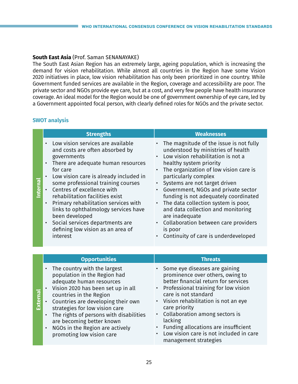#### **South East Asia** (Prof. Saman SENANAYAKE)

The South East Asian Region has an extremely large, ageing population, which is increasing the demand for vision rehabilitation. While almost all countries in the Region have some Vision 2020 initiatives in place, low vision rehabilitation has only been prioritized in one country. While Government funded services are available in the Region, coverage and accessibility are poor. The private sector and NGOs provide eye care, but at a cost, and very few people have health insurance coverage. An ideal model for the Region would be one of government ownership of eye care, led by a Government appointed focal person, with clearly defined roles for NGOs and the private sector.

|                 | <b>Strengths</b>                                                                                                                                                                                                                                                                                                                                                                                                                                                                          | <b>Weaknesses</b>                                                                                                                                                                                                                                                                                                                                                                                                                                                                                                           |
|-----------------|-------------------------------------------------------------------------------------------------------------------------------------------------------------------------------------------------------------------------------------------------------------------------------------------------------------------------------------------------------------------------------------------------------------------------------------------------------------------------------------------|-----------------------------------------------------------------------------------------------------------------------------------------------------------------------------------------------------------------------------------------------------------------------------------------------------------------------------------------------------------------------------------------------------------------------------------------------------------------------------------------------------------------------------|
| nterna          | Low vision services are available<br>and costs are often absorbed by<br>governments<br>There are adequate human resources<br>for care<br>Low vision care is already included in<br>some professional training courses<br>Centres of excellence with<br>$\bullet$<br>rehabilitation facilities exist<br>Primary rehabilitation services with<br>links to ophthalmology services have<br>been developed<br>Social services departments are<br>defining low vision as an area of<br>interest | The magnitude of the issue is not fully<br>understood by ministries of health<br>Low vision rehabilitation is not a<br>healthy system priority<br>The organization of low vision care is<br>particularly complex<br>Systems are not target driven<br>Government, NGOs and private sector<br>funding is not adequately coordinated<br>The data collection system is poor,<br>and data collection and monitoring<br>are inadequate<br>Collaboration between care providers<br>is poor<br>Continuity of care is underdeveloped |
|                 |                                                                                                                                                                                                                                                                                                                                                                                                                                                                                           |                                                                                                                                                                                                                                                                                                                                                                                                                                                                                                                             |
|                 | <b>Opportunities</b>                                                                                                                                                                                                                                                                                                                                                                                                                                                                      | <b>Threats</b>                                                                                                                                                                                                                                                                                                                                                                                                                                                                                                              |
| <b>External</b> | The country with the largest<br>population in the Region had<br>adequate human resources<br>Vision 2020 has been set up in all<br>countries in the Region<br>Countries are developing their own<br>strategies for low vision care<br>The rights of persons with disabilities<br>$\bullet$<br>are becoming better known<br>NGOs in the Region are actively<br>promoting low vision care                                                                                                    | Some eye diseases are gaining<br>prominence over others, owing to<br>better financial return for services<br>Professional training for low vision<br>care is not standard<br>Vision rehabilitation is not an eye<br>care priority<br>Collaboration among sectors is<br>lacking<br>Funding allocations are insufficient<br>Low vision care is not included in care<br>management strategies                                                                                                                                  |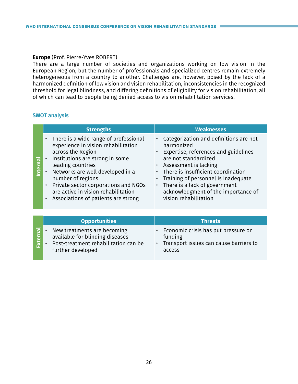#### **Europe** (Prof. Pierre-Yves ROBERT)

There are a large number of societies and organizations working on low vision in the European Region, but the number of professionals and specialized centres remain extremely heterogeneous from a country to another. Challenges are, however, posed by the lack of a harmonized definition of low vision and vision rehabilitation, inconsistencies in the recognized threshold for legal blindness, and differing definitions of eligibility for vision rehabilitation, all of which can lead to people being denied access to vision rehabilitation services.

#### **SWOT analysis**

|          | <b>Strengths</b>                                                                                                                                                                                                                                                                                                                                                                | <b>Weaknesses</b>                                                                                                                                                                                                                                                                                                                 |
|----------|---------------------------------------------------------------------------------------------------------------------------------------------------------------------------------------------------------------------------------------------------------------------------------------------------------------------------------------------------------------------------------|-----------------------------------------------------------------------------------------------------------------------------------------------------------------------------------------------------------------------------------------------------------------------------------------------------------------------------------|
| Internal | There is a wide range of professional<br>$\bullet$<br>experience in vision rehabilitation<br>across the Region<br>Institutions are strong in some<br>leading countries<br>Networks are well developed in a<br>number of regions<br>Private sector corporations and NGOs<br>$\bullet$<br>are active in vision rehabilitation<br>Associations of patients are strong<br>$\bullet$ | • Categorization and definitions are not<br>harmonized<br>Expertise, references and guidelines<br>are not standardized<br>• Assessment is lacking<br>There is insufficient coordination<br>Training of personnel is inadequate<br>• There is a lack of government<br>acknowledgment of the importance of<br>vision rehabilitation |
|          |                                                                                                                                                                                                                                                                                                                                                                                 |                                                                                                                                                                                                                                                                                                                                   |
|          | <b>Opportunities</b>                                                                                                                                                                                                                                                                                                                                                            | <b>Threats</b>                                                                                                                                                                                                                                                                                                                    |
| ಸ        | New treatments are becoming                                                                                                                                                                                                                                                                                                                                                     | • Economic crisis has put pressure on                                                                                                                                                                                                                                                                                             |

available for blinding diseases • Post-treatment rehabilitation can be further developed funding • Transport issues can cause barriers to access **Extern**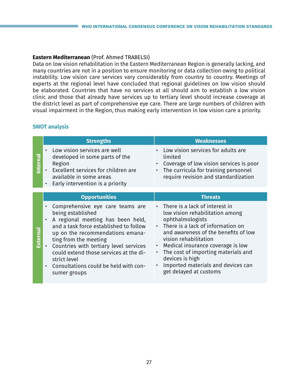#### **Eastern Mediterranean** (Prof. Ahmed TRABELSI)

Data on low vision rehabilitation in the Eastern Mediterranean Region is generally lacking, and many countries are not in a position to ensure monitoring or data collection owing to political instability. Low vision care services vary considerably from country to country. Meetings of experts at the regional level have concluded that regional guidelines on low vision should be elaborated. Countries that have no services at all should aim to establish a low vision clinic and those that already have services up to tertiary level should increase coverage at the district level as part of comprehensive eye care. There are large numbers of children with visual impairment in the Region, thus making early intervention in low vision care a priority.

|                                 | <b>Strengths</b>                                                                                                                                                                                                                                                                                                                                                            | <b>Weaknesses</b>                                                                                                                                                                                                                                                                                                                                                                                 |
|---------------------------------|-----------------------------------------------------------------------------------------------------------------------------------------------------------------------------------------------------------------------------------------------------------------------------------------------------------------------------------------------------------------------------|---------------------------------------------------------------------------------------------------------------------------------------------------------------------------------------------------------------------------------------------------------------------------------------------------------------------------------------------------------------------------------------------------|
| $\overline{\mathbf{a}}$<br>itei | Low vision services are well<br>developed in some parts of the<br>Region<br>Excellent services for children are<br>$\bullet$<br>available in some areas<br>Early intervention is a priority<br>$\bullet$                                                                                                                                                                    | Low vision services for adults are<br>limited<br>Coverage of low vision services is poor<br>$\bullet$<br>The curricula for training personnel<br>$\bullet$<br>require revision and standardization                                                                                                                                                                                                |
|                                 |                                                                                                                                                                                                                                                                                                                                                                             |                                                                                                                                                                                                                                                                                                                                                                                                   |
|                                 | <b>Opportunities</b>                                                                                                                                                                                                                                                                                                                                                        | <b>Threats</b>                                                                                                                                                                                                                                                                                                                                                                                    |
| قع                              | Comprehensive eye care teams are<br>being established<br>A regional meeting has been held,<br>and a task force established to follow<br>up on the recommendations emana-<br>ting from the meeting<br>Countries with tertiary level services<br>$\bullet$<br>could extend those services at the di-<br>strict level<br>Consultations could be held with con-<br>sumer groups | There is a lack of interest in<br>$\bullet$<br>low vision rehabilitation among<br>ophthalmologists<br>There is a lack of information on<br>$\bullet$<br>and awareness of the benefits of low<br>vision rehabilitation<br>Medical insurance coverage is low<br>$\bullet$<br>The cost of importing materials and<br>devices is high<br>Imported materials and devices can<br>get delayed at customs |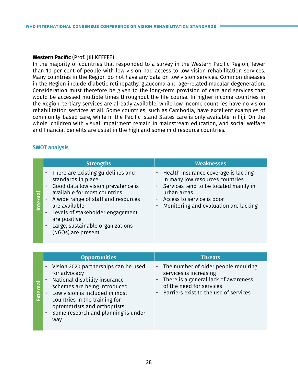#### **Western Pacific** (Prof. Jill KEEFFE)

In the majority of countries that responded to a survey in the Western Pacific Region, fewer than 10 per cent of people with low vision had access to low vision rehabilitation services. Many countries in the Region do not have any data on low vision services. Common diseases in the Region include diabetic retinopathy, glaucoma and age-related macular degeneration. Consideration must therefore be given to the long-term provision of care and services that would be accessed multiple times throughout the life course. In higher income countries in the Region, tertiary services are already available, while low income countries have no vision rehabilitation services at all. Some countries, such as Cambodia, have excellent examples of community-based care, while in the Pacific Island States care is only available in Fiji. On the whole, children with visual impairment remain in mainstream education, and social welfare and financial benefits are usual in the high and some mid resource countries.

|          | <b>Strengths</b>                                                                                                                                                                                                                                                                                                                                        | <b>Weaknesses</b>                                                                                                                                                                                                                              |
|----------|---------------------------------------------------------------------------------------------------------------------------------------------------------------------------------------------------------------------------------------------------------------------------------------------------------------------------------------------------------|------------------------------------------------------------------------------------------------------------------------------------------------------------------------------------------------------------------------------------------------|
| Internal | There are existing guidelines and<br>$\bullet$<br>standards in place<br>Good data low vision prevalence is<br>$\bullet$<br>available for most countries<br>A wide range of staff and resources<br>are available<br>Levels of stakeholder engagement<br>$\bullet$<br>are positive<br>Large, sustainable organizations<br>$\bullet$<br>(NGOs) are present | • Health insurance coverage is lacking<br>in many low resources countries<br>Services tend to be located mainly in<br>$\bullet$<br>urban areas<br>Access to service is poor<br>$\bullet$<br>Monitoring and evaluation are lacking<br>$\bullet$ |
|          |                                                                                                                                                                                                                                                                                                                                                         |                                                                                                                                                                                                                                                |
|          | <b>Opportunities</b>                                                                                                                                                                                                                                                                                                                                    | <b>Threats</b>                                                                                                                                                                                                                                 |
|          | .<br>the contract of the contract of the con-                                                                                                                                                                                                                                                                                                           | $\sim$ $\sim$ $\sim$                                                                                                                                                                                                                           |

|                         | Vision 2020 partnerships can be used |  |
|-------------------------|--------------------------------------|--|
|                         | for advocacy                         |  |
|                         | National disability insurance        |  |
| $\overline{\mathbf{a}}$ | schemes are being introduced         |  |
|                         | Low vision is included in most       |  |
|                         | countries in the training for        |  |

- Low vision is included in most countries in the training for
- optometrists and orthoptists
- Some research and planning is under way
- The number of older people requiring services is increasing
- There is a general lack of awareness of the need for services
- Barriers exist to the use of services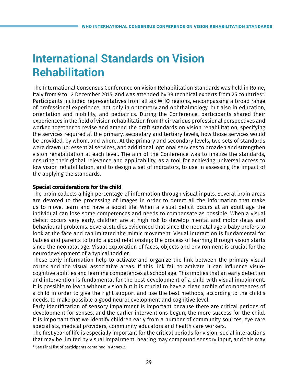# **International Standards on Vision Rehabilitation**

The International Consensus Conference on Vision Rehabilitation Standards was held in Rome, Italy from 9 to 12 December 2015, and was attended by 39 technical experts from 25 countries\*. Participants included representatives from all six WHO regions, encompassing a broad range of professional experience, not only in optometry and ophthalmology, but also in education, orientation and mobility, and pediatrics. During the Conference, participants shared their experiences in the field of vision rehabilitation from their various professional perspectives and worked together to revise and amend the draft standards on vision rehabilitation, specifying the services required at the primary, secondary and tertiary levels, how those services would be provided, by whom, and where. At the primary and secondary levels, two sets of standards were drawn up: essential services, and additional, optional services to broaden and strengthen vision rehabilitation at each level. The aim of the Conference was to finalize the standards, ensuring their global relevance and applicability, as a tool for achieving universal access to low vision rehabilitation, and to design a set of indicators, to use in assessing the impact of the applying the standards.

#### **Special considerations for the child**

The brain collects a high percentage of information through visual inputs. Several brain areas are devoted to the processing of images in order to detect all the information that make us to move, learn and have a social life. When a visual deficit occurs at an adult age the individual can lose some competences and needs to compensate as possible. When a visual deficit occurs very early, children are at high risk to develop mental and motor delay and behavioural problems. Several studies evidenced that since the neonatal age a baby prefers to look at the face and can imitated the mimic movement. Visual interaction is fundamental for babies and parents to build a good relationship; the process of learning through vision starts since the neonatal age. Visual exploration of faces, objects and environment is crucial for the neurodevelopment of a typical toddler.

These early information help to activate and organize the link between the primary visual cortex and the visual associative areas. If this link fail to activate it can influence visuocognitive abilities and learning competences at school age. This implies that an early detection and intervention is fundamental for the best development of a child with visual impairment. It is possible to learn without vision but it is crucial to have a clear profile of competences of a child in order to give the right support and use the best methods, according to the child's needs, to make possible a good neurodevelopment and cognitive level.

Early identification of sensory impairment is important because there are critical periods of development for senses, and the earlier interventions begun, the more success for the child. It is important that we identify children early from a number of community sources, eye care specialists, medical providers, community educators and health care workers.

The first year of life is especially important for the critical periods for vision, social interactions that may be limited by visual impairment, hearing may compound sensory input, and this may

\* See Final list of participants contained in Annex 2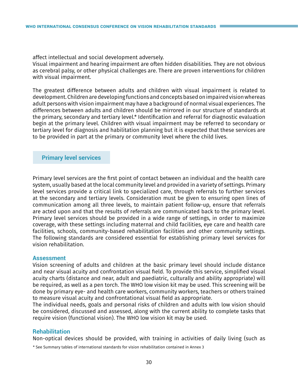affect intellectual and social development adversely.

Visual impairment and hearing impairment are often hidden disabilities. They are not obvious as cerebral palsy, or other physical challenges are. There are proven interventions for children with visual impairment.

The greatest difference between adults and children with visual impairment is related to development. Children are developing functions and concepts based on impaired vision whereas adult persons with vision impairment may have a background of normal visual experiences. The differences between adults and children should be mirrored in our structure of standards at the primary, secondary and tertiary level.\* Identification and referral for diagnostic evaluation begin at the primary level. Children with visual impairment may be referred to secondary or tertiary level for diagnosis and habilitation planning but it is expected that these services are to be provided in part at the primary or community level where the child lives.

#### **Primary level services**

Primary level services are the first point of contact between an individual and the health care system, usually based at the local community level and provided in a variety of settings. Primary level services provide a critical link to specialized care, through referrals to further services at the secondary and tertiary levels. Consideration must be given to ensuring open lines of communication among all three levels, to maintain patient follow-up, ensure that referrals are acted upon and that the results of referrals are communicated back to the primary level. Primary level services should be provided in a wide range of settings, in order to maximize coverage, with these settings including maternal and child facilities, eye care and health care facilities, schools, community-based rehabilitation facilities and other community settings. The following standards are considered essential for establishing primary level services for vision rehabilitation.

#### **Assessment**

Vision screening of adults and children at the basic primary level should include distance and near visual acuity and confrontation visual field. To provide this service, simplified visual acuity charts (distance and near, adult and paediatric, culturally and ability appropriate) will be required, as well as a pen torch. The WHO low vision kit may be used. This screening will be done by primary eye- and health care workers, community workers, teachers or others trained to measure visual acuity and confrontational visual field as appropriate.

The individual needs, goals and personal risks of children and adults with low vision should be considered, discussed and assessed, along with the current ability to complete tasks that require vision (functional vision). The WHO low vision kit may be used.

#### **Rehabilitation**

Non-optical devices should be provided, with training in activities of daily living (such as

\* See Summary tables of international standards for vision rehabilitation contained in Annex 3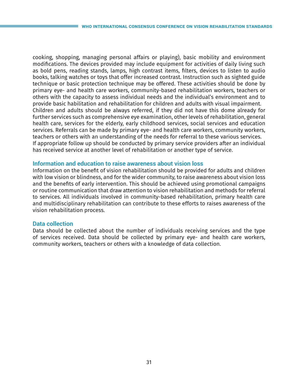cooking, shopping, managing personal affairs or playing), basic mobility and environment modifications. The devices provided may include equipment for activities of daily living such as bold pens, reading stands, lamps, high contrast items, filters, devices to listen to audio books, talking watches or toys that offer increased contrast. Instruction such as sighted guide technique or basic protection technique may be offered. These activities should be done by primary eye- and health care workers, community-based rehabilitation workers, teachers or others with the capacity to assess individual needs and the individual's environment and to provide basic habilitation and rehabilitation for children and adults with visual impairment. Children and adults should be always referred, if they did not have this dome already for further services such as comprehensive eye examination, other levels of rehabilitation, general health care, services for the elderly, early childhood services, social services and education services. Referrals can be made by primary eye- and health care workers, community workers, teachers or others with an understanding of the needs for referral to these various services. If appropriate follow up should be conducted by primary service providers after an individual has received service at another level of rehabilitation or another type of service.

#### **Information and education to raise awareness about vision loss**

Information on the benefit of vision rehabilitation should be provided for adults and children with low vision or blindness, and for the wider community, to raise awareness about vision loss and the benefits of early intervention. This should be achieved using promotional campaigns or routine communication that draw attention to vision rehabilitation and methods for referral to services. All individuals involved in community-based rehabilitation, primary health care and multidisciplinary rehabilitation can contribute to these efforts to raises awareness of the vision rehabilitation process.

#### **Data collection**

Data should be collected about the number of individuals receiving services and the type of services received. Data should be collected by primary eye- and health care workers, community workers, teachers or others with a knowledge of data collection.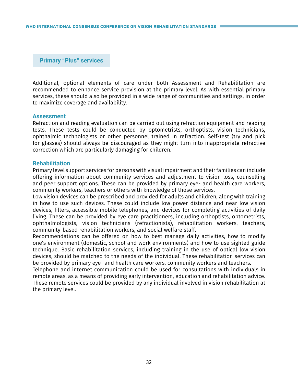**Primary "Plus" services**

Additional, optional elements of care under both Assessment and Rehabilitation are recommended to enhance service provision at the primary level. As with essential primary services, these should also be provided in a wide range of communities and settings, in order to maximize coverage and availability.

#### **Assessment**

Refraction and reading evaluation can be carried out using refraction equipment and reading tests. These tests could be conducted by optometrists, orthoptists, vision technicians, ophthalmic technologists or other personnel trained in refraction. Self-test (try and pick for glasses) should always be discouraged as they might turn into inappropriate refractive correction which are particularly damaging for children.

#### **Rehabilitation**

Primary level support services for persons with visual impairment and their families can include offering information about community services and adjustment to vision loss, counselling and peer support options. These can be provided by primary eye- and health care workers, community workers, teachers or others with knowledge of those services.

Low vision devices can be prescribed and provided for adults and children, along with training in how to use such devices. These could include low power distance and near low vision devices, filters, accessible mobile telephones, and devices for completing activities of daily living. These can be provided by eye care practitioners, including orthoptists, optometrists, ophthalmologists, vision technicians (refractionists), rehabilitation workers, teachers, community-based rehabilitation workers, and social welfare staff.

Recommendations can be offered on how to best manage daily activities, how to modify one's environment (domestic, school and work environments) and how to use sighted guide technique. Basic rehabilitation services, including training in the use of optical low vision devices, should be matched to the needs of the individual. These rehabilitation services can be provided by primary eye- and health care workers, community workers and teachers.

Telephone and internet communication could be used for consultations with individuals in remote areas, as a means of providing early intervention, education and rehabilitation advice. These remote services could be provided by any individual involved in vision rehabilitation at the primary level.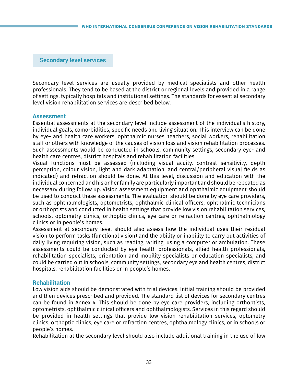**Secondary level services**

Secondary level services are usually provided by medical specialists and other health professionals. They tend to be based at the district or regional levels and provided in a range of settings, typically hospitals and institutional settings. The standards for essential secondary level vision rehabilitation services are described below.

#### **Assessment**

Essential assessments at the secondary level include assessment of the individual's history, individual goals, comorbidities, specific needs and living situation. This interview can be done by eye- and health care workers, ophthalmic nurses, teachers, social workers, rehabilitation staff or others with knowledge of the causes of vision loss and vision rehabilitation processes. Such assessments would be conducted in schools, community settings, secondary eye- and health care centres, district hospitals and rehabilitation facilities.

Visual functions must be assessed (including visual acuity, contrast sensitivity, depth perception, colour vision, light and dark adaptation, and central/peripheral visual fields as indicated) and refraction should be done. At this level, discussion and education with the individual concerned and his or her family are particularly important and should be repeated as necessary during follow up. Vision assessment equipment and ophthalmic equipment should be used to conduct these assessments. The evaluation should be done by eye care providers, such as ophthalmologists, optometrists, ophthalmic clinical officers, ophthalmic technicians or orthoptists and conducted in health settings that provide low vision rehabilitation services, schools, optometry clinics, orthoptic clinics, eye care or refraction centres, ophthalmology clinics or in people's homes.

Assessment at secondary level should also assess how the individual uses their residual vision to perform tasks (functional vision) and the ability or inability to carry out activities of daily living requiring vision, such as reading, writing, using a computer or ambulation. These assessments could be conducted by eye health professionals, allied health professionals, rehabilitation specialists, orientation and mobility specialists or education specialists, and could be carried out in schools, community settings, secondary eye and health centres, district hospitals, rehabilitation facilities or in people's homes.

#### **Rehabilitation**

Low vision aids should be demonstrated with trial devices. Initial training should be provided and then devices prescribed and provided. The standard list of devices for secondary centres can be found in Annex 4. This should be done by eye care providers, including orthoptists, optometrists, ophthalmic clinical officers and ophthalmologists. Services in this regard should be provided in health settings that provide low vision rehabilitation services, optometry clinics, orthoptic clinics, eye care or refraction centres, ophthalmology clinics, or in schools or people's homes.

Rehabilitation at the secondary level should also include additional training in the use of low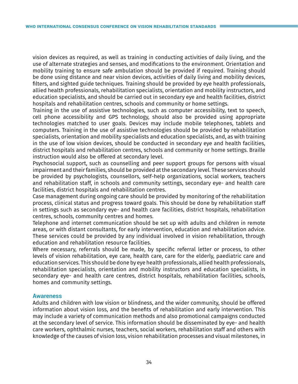vision devices as required, as well as training in conducting activities of daily living, and the use of alternate strategies and senses, and modifications to the environment. Orientation and mobility training to ensure safe ambulation should be provided if required. Training should be done using distance and near vision devices, activities of daily living and mobility devices, filters, and sighted guide techniques. Training should be provided by eye health professionals, allied health professionals, rehabilitation specialists, orientation and mobility instructors, and education specialists, and should be carried out in secondary eye and health facilities, district hospitals and rehabilitation centres, schools and community or home settings.

Training in the use of assistive technologies, such as computer accessibility, text to speech, cell phone accessibility and GPS technology, should also be provided using appropriate technologies matched to user goals. Devices may include mobile telephones, tablets and computers. Training in the use of assistive technologies should be provided by rehabilitation specialists, orientation and mobility specialists and education specialists, and, as with training in the use of low vision devices, should be conducted in secondary eye and health facilities, district hospitals and rehabilitation centres, schools and community or home settings. Braille instruction would also be offered at secondary level.

Psychosocial support, such as counselling and peer support groups for persons with visual impairment and their families, should be provided at the secondary level. These services should be provided by psychologists, counsellors, self-help organizations, social workers, teachers and rehabilitation staff, in schools and community settings, secondary eye- and health care facilities, district hospitals and rehabilitation centres.

Case management during ongoing care should be provided by monitoring of the rehabilitation process, clinical status and progress toward goals. This should be done by rehabilitation staff in settings such as secondary eye- and health care facilities, district hospitals, rehabilitation centres, schools, community centres and homes.

Telephone and internet communication should be set up with adults and children in remote areas, or with distant consultants, for early intervention, education and rehabilitation advice. These services could be provided by any individual involved in vision rehabilitation, through education and rehabilitation resource facilities.

Where necessary, referrals should be made, by specific referral letter or process, to other levels of vision rehabilitation, eye care, health care, care for the elderly, paediatric care and education services. This should be done by eye health professionals, allied health professionals, rehabilitation specialists, orientation and mobility instructors and education specialists, in secondary eye- and health care centres, district hospitals, rehabilitation facilities, schools, homes and community settings.

#### **Awareness**

Adults and children with low vision or blindness, and the wider community, should be offered information about vision loss, and the benefits of rehabilitation and early intervention. This may include a variety of communication methods and also promotional campaigns conducted at the secondary level of service. This information should be disseminated by eye- and health care workers, ophthalmic nurses, teachers, social workers, rehabilitation staff and others with knowledge of the causes of vision loss, vision rehabilitation processes and visual milestones, in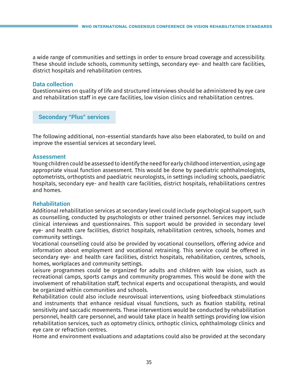a wide range of communities and settings in order to ensure broad coverage and accessibility. These should include schools, community settings, secondary eye- and health care facilities, district hospitals and rehabilitation centres.

#### **Data collection**

Questionnaires on quality of life and structured interviews should be administered by eye care and rehabilitation staff in eye care facilities, low vision clinics and rehabilitation centres.

**Secondary "Plus" services**

The following additional, non-essential standards have also been elaborated, to build on and improve the essential services at secondary level.

#### **Assessment**

Young children could be assessed to identify the need for early childhood intervention, using age appropriate visual function assessment. This would be done by paediatric ophthalmologists, optometrists, orthoptists and paediatric neurologists, in settings including schools, paediatric hospitals, secondary eye- and health care facilities, district hospitals, rehabilitations centres and homes.

#### **Rehabilitation**

Additional rehabilitation services at secondary level could include psychological support, such as counselling, conducted by psychologists or other trained personnel. Services may include clinical interviews and questionnaires. This support would be provided in secondary level eye- and health care facilities, district hospitals, rehabilitation centres, schools, homes and community settings.

Vocational counselling could also be provided by vocational counsellors, offering advice and information about employment and vocational retraining. This service could be offered in secondary eye- and health care facilities, district hospitals, rehabilitation, centres, schools, homes, workplaces and community settings.

Leisure programmes could be organized for adults and children with low vision, such as recreational camps, sports camps and community programmes. This would be done with the involvement of rehabilitation staff, technical experts and occupational therapists, and would be organized within communities and schools.

Rehabilitation could also include neurovisual interventions, using biofeedback stimulations and instruments that enhance residual visual functions, such as fixation stability, retinal sensitivity and saccadic movements. These interventions would be conducted by rehabilitation personnel, health care personnel, and would take place in health settings providing low vision rehabilitation services, such as optometry clinics, orthoptic clinics, ophthalmology clinics and eye care or refraction centres.

Home and environment evaluations and adaptations could also be provided at the secondary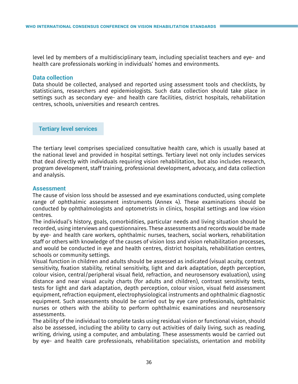level led by members of a multidisciplinary team, including specialist teachers and eye- and health care professionals working in individuals' homes and environments.

#### **Data collection**

Data should be collected, analysed and reported using assessment tools and checklists, by statisticians, researchers and epidemiologists. Such data collection should take place in settings such as secondary eye- and health care facilities, district hospitals, rehabilitation centres, schools, universities and research centres.

**Tertiary level services**

The tertiary level comprises specialized consultative health care, which is usually based at the national level and provided in hospital settings. Tertiary level not only includes services that deal directly with individuals requiring vision rehabilitation, but also includes research, program development, staff training, professional development, advocacy, and data collection and analysis.

#### **Assessment**

The cause of vision loss should be assessed and eye examinations conducted, using complete range of ophthalmic assessment instruments (Annex 4). These examinations should be conducted by ophthalmologists and optometrists in clinics, hospital settings and low vision centres.

The individual's history, goals, comorbidities, particular needs and living situation should be recorded, using interviews and questionnaires. These assessments and records would be made by eye- and health care workers, ophthalmic nurses, teachers, social workers, rehabilitation staff or others with knowledge of the causes of vision loss and vision rehabilitation processes, and would be conducted in eye and health centres, district hospitals, rehabilitation centres, schools or community settings.

Visual function in children and adults should be assessed as indicated (visual acuity, contrast sensitivity, fixation stability, retinal sensitivity, light and dark adaptation, depth perception, colour vision, central/peripheral visual field, refraction, and neurosensory evaluation), using distance and near visual acuity charts (for adults and children), contrast sensitivity tests, tests for light and dark adaptation, depth perception, colour vision, visual field assessment equipment, refraction equipment, electrophysiological instruments and ophthalmic diagnostic equipment. Such assessments should be carried out by eye care professionals, ophthalmic nurses or others with the ability to perform ophthalmic examinations and neurosensory assessments.

The ability of the individual to complete tasks using residual vision or functional vision, should also be assessed, including the ability to carry out activities of daily living, such as reading, writing, driving, using a computer, and ambulating. These assessments would be carried out by eye- and health care professionals, rehabilitation specialists, orientation and mobility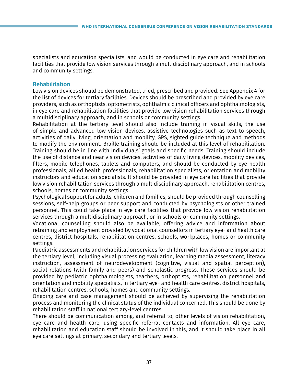specialists and education specialists, and would be conducted in eye care and rehabilitation facilities that provide low vision services through a multidisciplinary approach, and in schools and community settings.

#### **Rehabilitation**

Low vision devices should be demonstrated, tried, prescribed and provided. See Appendix 4 for the list of devices for tertiary facilities. Devices should be prescribed and provided by eye care providers, such as orthoptists, optometrists, ophthalmic clinical officers and ophthalmologists, in eye care and rehabilitation facilities that provide low vision rehabilitation services through a multidisciplinary approach, and in schools or community settings.

Rehabilitation at the tertiary level should also include training in visual skills, the use of simple and advanced low vision devices, assistive technologies such as text to speech, activities of daily living, orientation and mobility, GPS, sighted guide technique and methods to modify the environment. Braille training should be included at this level of rehabilitation. Training should be in line with individuals' goals and specific needs. Training should include the use of distance and near vision devices, activities of daily living devices, mobility devices, filters, mobile telephones, tablets and computers, and should be conducted by eye health professionals, allied health professionals, rehabilitation specialists, orientation and mobility instructors and education specialists. It should be provided in eye care facilities that provide low vision rehabilitation services through a multidisciplinary approach, rehabilitation centres, schools, homes or community settings.

Psychological support for adults, children and families, should be provided through counselling sessions, self-help groups or peer support and conducted by psychologists or other trained personnel. This could take place in eye care facilities that provide low vision rehabilitation services through a multidisciplinary approach, or in schools or community settings.

Vocational counselling should also be available, offering advice and information about retraining and employment provided by vocational counsellors in tertiary eye- and health care centres, district hospitals, rehabilitation centres, schools, workplaces, homes or community settings.

Paediatric assessments and rehabilitation services for children with low vision are important at the tertiary level, including visual processing evaluation, learning media assessment, literacy instruction, assessment of neurodevelopment (cognitive, visual and spatial perception), social relations (with family and peers) and scholastic progress. These services should be provided by pediatric ophthalmologists, teachers, orthoptists, rehabilitation personnel and orientation and mobility specialists, in tertiary eye- and health care centres, district hospitals, rehabilitation centres, schools, homes and community settings.

Ongoing care and case management should be achieved by supervising the rehabilitation process and monitoring the clinical status of the individual concerned. This should be done by rehabilitation staff in national tertiary-level centres.

There should be communication among, and referral to, other levels of vision rehabilitation, eye care and health care, using specific referral contacts and information. All eye care, rehabilitation and education staff should be involved in this, and it should take place in all eye care settings at primary, secondary and tertiary levels.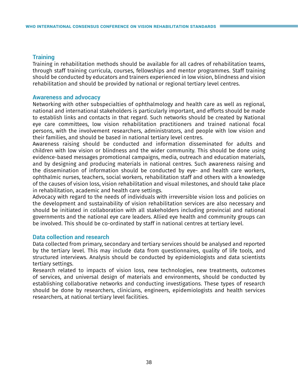#### **Training**

Training in rehabilitation methods should be available for all cadres of rehabilitation teams, through staff training curricula, courses, fellowships and mentor programmes. Staff training should be conducted by educators and trainers experienced in low vision, blindness and vision rehabilitation and should be provided by national or regional tertiary level centres.

#### **Awareness and advocacy**

Networking with other subspecialties of ophthalmology and health care as well as regional, national and international stakeholders is particularly important, and efforts should be made to establish links and contacts in that regard. Such networks should be created by National eye care committees, low vision rehabilitation practitioners and trained national focal persons, with the involvement researchers, administrators, and people with low vision and their families, and should be based in national tertiary level centres.

Awareness raising should be conducted and information disseminated for adults and children with low vision or blindness and the wider community. This should be done using evidence-based messages promotional campaigns, media, outreach and education materials, and by designing and producing materials in national centres. Such awareness raising and the dissemination of information should be conducted by eye- and health care workers, ophthalmic nurses, teachers, social workers, rehabilitation staff and others with a knowledge of the causes of vision loss, vision rehabilitation and visual milestones, and should take place in rehabilitation, academic and health care settings.

Advocacy with regard to the needs of individuals with irreversible vision loss and policies on the development and sustainability of vision rehabilitation services are also necessary and should be initiated in collaboration with all stakeholders including provincial and national governments and the national eye care leaders. Allied eye health and community groups can be involved. This should be co-ordinated by staff in national centres at tertiary level.

#### **Data collection and research**

Data collected from primary, secondary and tertiary services should be analysed and reported by the tertiary level. This may include data from questionnaires, quality of life tools, and structured interviews. Analysis should be conducted by epidemiologists and data scientists tertiary settings.

Research related to impacts of vision loss, new technologies, new treatments, outcomes of services, and universal design of materials and environments, should be conducted by establishing collaborative networks and conducting investigations. These types of research should be done by researchers, clinicians, engineers, epidemiologists and health services researchers, at national tertiary level facilities.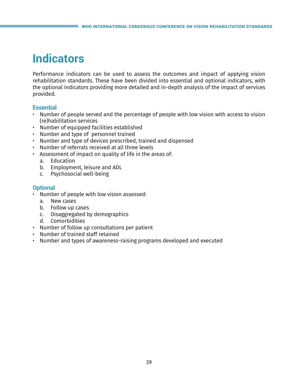# **Indicators**

Performance indicators can be used to assess the outcomes and impact of applying vision rehabilitation standards. These have been divided into essential and optional indicators, with the optional indicators providing more detailed and in-depth analysis of the impact of services provided.

### **Essential**

- Number of people served and the percentage of people with low vision with access to vision (re)habilitation services
- Number of equipped facilities established
- Number and type of personnel trained
- Number and type of devices prescribed, trained and dispensed
- Number of referrals received at all three levels
- Assessment of impact on quality of life in the areas of:
	- a. Education
	- b. Employment, leisure and ADL
	- c. Psychosocial well-being

#### **Optional**

- Number of people with low vision assessed:
	- a. New cases
	- b. Follow up cases
	- c. Disaggregated by demographics
	- d. Comorbidities
- Number of follow up consultations per patient
- Number of trained staff retained
- Number and types of awareness-raising programs developed and executed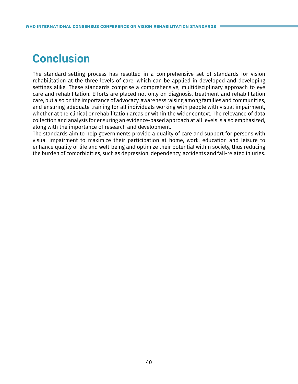# **Conclusion**

The standard-setting process has resulted in a comprehensive set of standards for vision rehabilitation at the three levels of care, which can be applied in developed and developing settings alike. These standards comprise a comprehensive, multidisciplinary approach to eye care and rehabilitation. Efforts are placed not only on diagnosis, treatment and rehabilitation care, but also on the importance of advocacy, awareness raising among families and communities, and ensuring adequate training for all individuals working with people with visual impairment, whether at the clinical or rehabilitation areas or within the wider context. The relevance of data collection and analysis for ensuring an evidence-based approach at all levels is also emphasized, along with the importance of research and development.

The standards aim to help governments provide a quality of care and support for persons with visual impairment to maximize their participation at home, work, education and leisure to enhance quality of life and well-being and optimize their potential within society, thus reducing the burden of comorbidities, such as depression, dependency, accidents and fall-related injuries.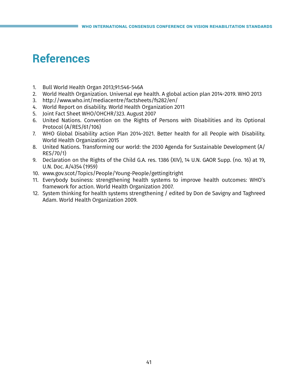# **References**

- 1. Bull World Health Organ 2013;91:546-546A
- 2. World Health Organization. Universal eye health. A global action plan 2014-2019. WHO 2013
- 3. http://www.who.int/mediacentre/factsheets/fs282/en/
- 4. World Report on disability. World Health Organization 2011
- 5. Joint Fact Sheet WHO/OHCHR/323. August 2007
- 6. United Nations. Convention on the Rights of Persons with Disabilities and its Optional Protocol (A/RES/61/106)
- 7. WHO Global Disability action Plan 2014-2021. Better health for all People with Disability. World Health Organization 2015
- 8. United Nations. Transforming our world: the 2030 Agenda for Sustainable Development (A/ RES/70/1)
- 9. Declaration on the Rights of the Child G.A. res. 1386 (XIV), 14 U.N. GAOR Supp. (no. 16) at 19, U.N. Doc. A/4354 (1959)
- 10. www.gov.scot/Topics/People/Young-People/gettingitright
- 11. Everybody business: strengthening health systems to improve health outcomes: WHO's framework for action. World Health Organization 2007.
- 12. System thinking for health systems strengthening / edited by Don de Savigny and Taghreed Adam. World Health Organization 2009.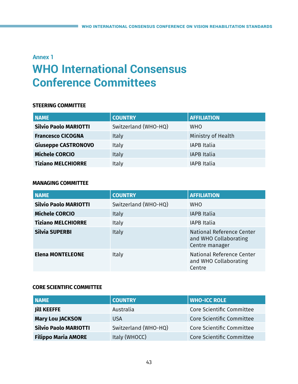### **Annex 1 WHO International Consensus Conference Committees**

#### **STEERING COMMITTEE**

 $\sim 100$ 

| <b>NAME</b>                | <b>COUNTRY</b>       | <b>AFFILIATION</b> |
|----------------------------|----------------------|--------------------|
| Silvio Paolo MARIOTTI      | Switzerland (WHO-HQ) | <b>WHO</b>         |
| <b>Francesco CICOGNA</b>   | Italy                | Ministry of Health |
| <b>Giuseppe CASTRONOVO</b> | Italy                | <b>IAPB</b> Italia |
| <b>Michele CORCIO</b>      | Italy                | <b>IAPB</b> Italia |
| <b>Tiziano MELCHIORRE</b>  | Italy                | <b>IAPB</b> Italia |

#### **MANAGING COMMITTEE**

| <b>NAME</b>                  | <b>COUNTRY</b>       | <b>AFFILIATION</b>                                                   |
|------------------------------|----------------------|----------------------------------------------------------------------|
| <b>Silvio Paolo MARIOTTI</b> | Switzerland (WHO-HQ) | <b>WHO</b>                                                           |
| <b>Michele CORCIO</b>        | Italy                | <b>IAPB</b> Italia                                                   |
| <b>Tiziano MELCHIORRE</b>    | Italy                | <b>IAPB</b> Italia                                                   |
| <b>Silvia SUPERBI</b>        | Italy                | National Reference Center<br>and WHO Collaborating<br>Centre manager |
| <b>Elena MONTELEONE</b>      | Italy                | National Reference Center<br>and WHO Collaborating<br>Centre         |

#### **CORE SCIENTIFIC COMMITTEE**

| <b>NAME</b>                  | <b>COUNTRY</b>       | <b>WHO-ICC ROLE</b>       |
|------------------------------|----------------------|---------------------------|
| <b>Jill KEEFFE</b>           | Australia            | Core Scientific Committee |
| <b>Mary Lou JACKSON</b>      | <b>USA</b>           | Core Scientific Committee |
| <b>Silvio Paolo MARIOTTI</b> | Switzerland (WHO-HQ) | Core Scientific Committee |
| <b>Filippo Maria AMORE</b>   | Italy (WHOCC)        | Core Scientific Committee |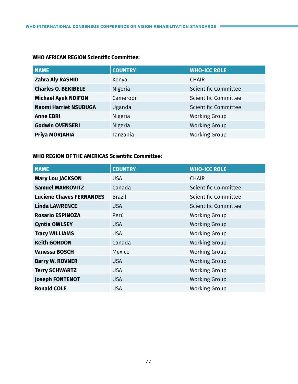### **NAME COUNTRY WHO-ICC ROLE Zahra Aly RASHID** Kenya Kenya CHAIR **Charles O. BEKIBELE** Nigeria Nigeria Scientific Committee **Michael Ayuk NDIFON** Cameroon Scientific Committee **Naomi Harriet NSUBUGA** Uganda Scientific Committee **Anne EBRI** Nigeria Working Group **Godwin OVENSERI** Nigeria Nigeria Working Group **Priya MORJARIA** Tanzania **Tanzania** Working Group

#### **WHO AFRICAN REGION Scientific Committee:**

### **WHO REGION OF THE AMERICAS Scientific Committee:**

| <b>NAME</b>                     | <b>COUNTRY</b> | <b>WHO-ICC ROLE</b>  |
|---------------------------------|----------------|----------------------|
| <b>Mary Lou JACKSON</b>         | <b>USA</b>     | <b>CHAIR</b>         |
| <b>Samuel MARKOVITZ</b>         | Canada         | Scientific Committee |
| <b>Luciene Chaves FERNANDES</b> | <b>Brazil</b>  | Scientific Committee |
| <b>Linda LAWRENCE</b>           | <b>USA</b>     | Scientific Committee |
| <b>Rosario ESPINOZA</b>         | Perù           | <b>Working Group</b> |
| <b>Cyntia OWLSEY</b>            | <b>USA</b>     | <b>Working Group</b> |
| <b>Tracy WILLIAMS</b>           | <b>USA</b>     | <b>Working Group</b> |
| <b>Keith GORDON</b>             | Canada         | <b>Working Group</b> |
| <b>Vanessa BOSCH</b>            | Mexico         | <b>Working Group</b> |
| <b>Barry W. ROVNER</b>          | <b>USA</b>     | <b>Working Group</b> |
| <b>Terry SCHWARTZ</b>           | <b>USA</b>     | <b>Working Group</b> |
| <b>Joseph FONTENOT</b>          | <b>USA</b>     | <b>Working Group</b> |
| <b>Ronald COLE</b>              | <b>USA</b>     | <b>Working Group</b> |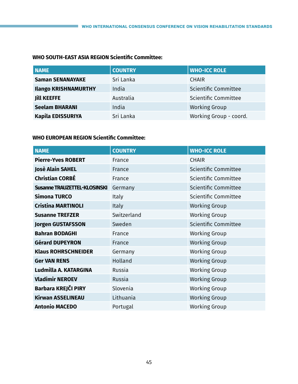### **WHO SOUTH-EAST ASIA REGION Scientific Committee:**

| <b>NAME</b>                 | <b>COUNTRY</b> | <b>WHO-ICC ROLE</b>    |
|-----------------------------|----------------|------------------------|
| <b>Saman SENANAYAKE</b>     | Sri Lanka      | <b>CHAIR</b>           |
| <b>Ilango KRISHNAMURTHY</b> | India          | Scientific Committee   |
| <b>Jill KEEFFE</b>          | Australia      | Scientific Committee   |
| <b>Seelam BHARANI</b>       | India          | <b>Working Group</b>   |
| Kapila EDISSURIYA           | Sri Lanka      | Working Group - coord. |

### **WHO EUROPEAN REGION Scientific Committee:**

| <b>NAME</b>                         | <b>COUNTRY</b> | <b>WHO-ICC ROLE</b>  |
|-------------------------------------|----------------|----------------------|
| <b>Pierre-Yves ROBERT</b>           | France         | <b>CHAIR</b>         |
| Josè Alain SAHEL                    | France         | Scientific Committee |
| <b>Christian CORBÉ</b>              | France         | Scientific Committee |
| <b>Susanne TRAUZETTEL-KLOSINSKI</b> | Germany        | Scientific Committee |
| <b>Simona TURCO</b>                 | Italy          | Scientific Committee |
| <b>Cristina MARTINOLI</b>           | <b>Italy</b>   | <b>Working Group</b> |
| <b>Susanne TREFZER</b>              | Switzerland    | <b>Working Group</b> |
| <b>Jorgen GUSTAFSSON</b>            | Sweden         | Scientific Committee |
| <b>Bahran BODAGHI</b>               | France         | <b>Working Group</b> |
| <b>Gérard DUPEYRON</b>              | France         | <b>Working Group</b> |
| <b>Klaus ROHRSCHNEIDER</b>          | Germany        | <b>Working Group</b> |
| <b>Ger VAN RENS</b>                 | Holland        | <b>Working Group</b> |
| Ludmilla A. KATARGINA               | <b>Russia</b>  | <b>Working Group</b> |
| <b>Vladimir NEROEV</b>              | Russia         | <b>Working Group</b> |
| Barbara KREJČI PIRY                 | Slovenia       | <b>Working Group</b> |
| <b>Kirwan ASSELINEAU</b>            | Lithuania      | <b>Working Group</b> |
| <b>Antonio MACEDO</b>               | Portugal       | <b>Working Group</b> |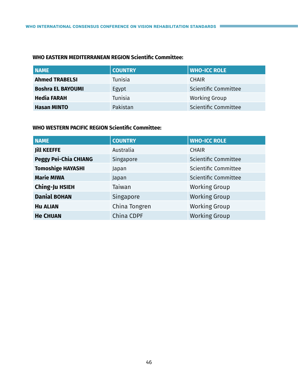### **WHO EASTERN MEDITERRANEAN REGION Scientific Committee:**

| <b>NAME</b>              | <b>COUNTRY</b> | <b>WHO-ICC ROLE</b>  |
|--------------------------|----------------|----------------------|
| <b>Ahmed TRABELSI</b>    | Tunisia        | <b>CHAIR</b>         |
| <b>Boshra EL BAYOUMI</b> | Egypt          | Scientific Committee |
| <b>Hedia FARAH</b>       | Tunisia        | <b>Working Group</b> |
| <b>Hasan MINTO</b>       | Pakistan       | Scientific Committee |

### **WHO WESTERN PACIFIC REGION Scientific Committee:**

| <b>NAME</b>                  | <b>COUNTRY</b> | <b>WHO-ICC ROLE</b>  |
|------------------------------|----------------|----------------------|
| <b>Jill KEEFFE</b>           | Australia      | <b>CHAIR</b>         |
| <b>Peggy Pei-Chia CHIANG</b> | Singapore      | Scientific Committee |
| <b>Tomoshige HAYASHI</b>     | Japan          | Scientific Committee |
| <b>Marie MIWA</b>            | Japan          | Scientific Committee |
| <b>Ching-Ju HSIEH</b>        | Taiwan         | <b>Working Group</b> |
| <b>Danial BOHAN</b>          | Singapore      | <b>Working Group</b> |
| <b>Hu ALIAN</b>              | China Tongren  | <b>Working Group</b> |
| <b>He CHUAN</b>              | China CDPF     | <b>Working Group</b> |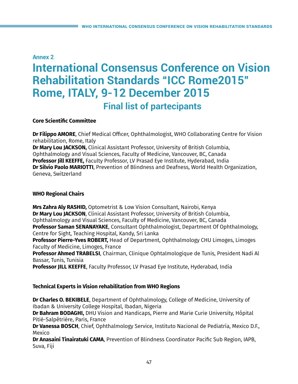#### **Annex 2**

## **International Consensus Conference on Vision Rehabilitation Standards "ICC Rome2015" Rome, ITALY, 9-12 December 2015 Final list of partecipants**

#### **Core Scientific Committee**

**Dr Filippo AMORE**, Chief Medical Officer, Ophthalmologist, WHO Collaborating Centre for Vision rehabilitation, Rome, Italy **Dr Mary Lou JACKSON,** Clinical Assistant Professor, University of British Columbia, Ophthalmology and Visual Sciences, Faculty of Medicine, Vancouver, BC, Canada **Professor Jill KEEFFE,** Faculty Professor, LV Prasad Eye Institute, Hyderabad, India **Dr Silvio Paolo MARIOTTI**, Prevention of Blindness and Deafness, World Health Organization, Geneva, Switzerland

#### **WHO Regional Chairs**

**Mrs Zahra Aly RASHID,** Optometrist & Low Vision Consultant, Nairobi, Kenya **Dr Mary Lou JACKSON**, Clinical Assistant Professor, University of British Columbia, Ophthalmology and Visual Sciences, Faculty of Medicine, Vancouver, BC, Canada **Professor Saman SENANAYAKE**, Consultant Ophthalmologist, Department Of Ophthalmology, Centre for Sight, Teaching Hospital, Kandy, Sri Lanka

**Professor Pierre-Yves ROBERT,** Head of Department, Ophthalmology CHU Limoges, Limoges Faculty of Medicine, Limoges, France

**Professor Ahmed TRABELSI**, Chairman, Clinique Ophtalmologique de Tunis, President Nadi Al Bassar, Tunis, Tunisia

**Professor JILL KEEFFE**, Faculty Professor, LV Prasad Eye Institute, Hyderabad, India

#### **Technical Experts in Vision rehabilitation from WHO Regions**

**Dr Charles O. BEKIBELE**, Department of Ophthalmology, College of Medicine, University of Ibadan & University College Hospital, Ibadan, Nigeria

**Dr Bahram BODAGHI,** DHU Vision and Handicaps, Pierre and Marie Curie University, Hôpital Pitié-Salpêtrière, Paris, France

**Dr Vanessa BOSCH**, Chief, Ophthalmology Service, Instituto Nacional de Pediatría, Mexico D.F., Mexico

**Dr Anasaini Tinairatuki CAMA**, Prevention of Blindness Coordinator Pacific Sub Region, IAPB, Suva, Fiji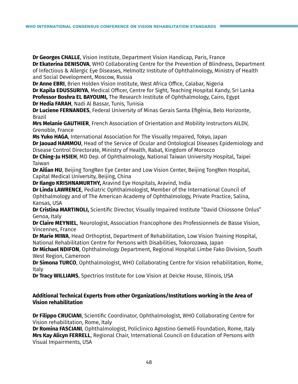**Dr Georges CHALLE**, Vision Institute, Department Vision Handicap, Paris, France **Dr Ekaterina DENISOVA**, WHO Collaborating Centre for the Prevention of Blindness, Department of Infectious & Allergic Eye Diseases, Helmoltz Institute of Ophthalmology, Ministry of Health and Social Development, Moscow, Russia

**Dr Anne EBRI**, Brien Holden Vision Institute, West Africa Office, Calabar, Nigeria **Dr Kapila EDUSSURIYA**, Medical Officer, Centre for Sight, Teaching Hospital Kandy, Sri Lanka **Professor Boshra EL BAYOUMI,** The Research Institute of Ophthalmology, Cairo, Egypt **Dr Hedia FARAH**, Nadi Al Bassar, Tunis, Tunisia

**Dr Luciene FERNANDES**, Federal University of Minas Gerais Santa Efigênia, Belo Horizonte, Brazil

**Mrs Melanie GAUTHIER**, French Association of Orientation and Mobility Instructors AILDV, Grenoble, France

**Ms Yuko HAGA**, International Association for The Visually Impaired, Tokyo, Japan **Dr Jaouad HAMMOU**, Head of the Service of Ocular and Ontological Diseases Epidemiology and Disease Control Directorate, Ministry of Health, Rabat, Kingdom of Morocco

**Dr Ching-Ju HSIEH**, MD Dep. of Ophthalmology, National Taiwan University Hospital, Taipei Taiwan

**Dr Ailian HU**, Beijing TongRen Eye Center and Low Vision Center, Beijing TongRen Hospital, Capital Medical University, Beijing, China

**Dr Ilango KRISHNAMURTHY,** Aravind Eye Hospitals, Aravind, India

**Dr Linda LAWRENCE**, Pediatric Ophthalmologist, Member of the International Council of Ophthalmology and of The American Academy of Ophthalmology, Private Practice, Salina, Kansas, USA

**Dr Cristina MARTINOLI,** Scientific Director, Visually Impaired Institute "David Chiossone Onlus" Genoa, Italy

**Dr Claire MEYNIEL**, Neurologist, Association Francophone des Professionnels de Basse Vision, Vincennes, France

**Dr Marie MIWA**, Head Orthoptist, Department of Rehabilitation, Low Vision Training Hospital, National Rehabilitation Centre for Persons with Disabilities, Tokorozawa, Japan

**Dr Michael NDIFON**, Ophthalmology Department, Regional Hospital Limbe Fako Division, South West Region, Cameroon

**Dr Simona TURCO**, Ophthalmologist, WHO Collaborating Centre for Vision rehabilitation, Rome, Italy

**Dr Tracy WILLIAMS**, Spectrios Institute for Low Vision at Deicke House, Illinois, USA

#### **Additional Technical Experts from other Organizations/Institutions working in the Area of Vision rehabilitation**

**Dr Filippo CRUCIANI**, Scientific Coordinator, Ophthalmologist, WHO Collaborating Centre for Vision rehabilitation, Rome, Italy

**Dr Romina FASCIANI**, Ophthalmologist, Policlinico Agostino Gemelli Foundation, Rome, Italy **Mrs Kay Alicyn FERRELL**, Regional Chair, International Council on Education of Persons with Visual Impairments, USA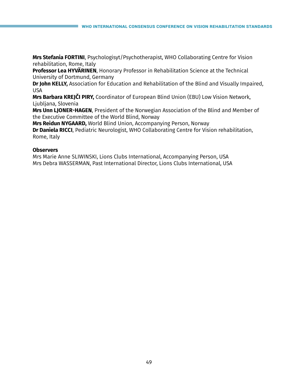**Mrs Stefania FORTINI**, Psychologisyt/Psychotherapist, WHO Collaborating Centre for Vision rehabilitation, Rome, Italy

**Professor Lea HYVÄRINEN**, Honorary Professor in Rehabilitation Science at the Technical University of Dortmund, Germany

**Dr John KELLY,** Association for Education and Rehabilitation of the Blind and Visually Impaired, USA

**Mrs Barbara KREJČI PIRY,** Coordinator of European Blind Union (EBU) Low Vision Network, Liubliana, Slovenia

**Mrs Unn LJONER-HAGEN**, President of the Norwegian Association of the Blind and Member of the Executive Committee of the World Blind, Norway

**Mrs Reidun NYGAARD,** World Blind Union, Accompanying Person, Norway

**Dr Daniela RICCI**, Pediatric Neurologist, WHO Collaborating Centre for Vision rehabilitation, Rome, Italy

#### **Observers**

Mrs Marie Anne SLIWINSKI, Lions Clubs International, Accompanying Person, USA Mrs Debra WASSERMAN, Past International Director, Lions Clubs International, USA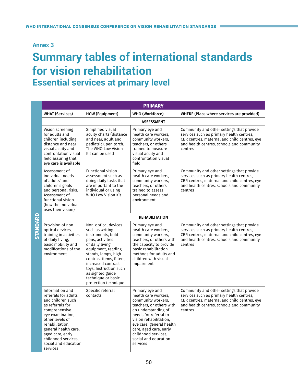### **Annex 3**

## **Summary tables of international standards for vision rehabilitation Essential services at primary level**

|          |                                                                                                                                                                                                                                                                    | <b>PRIMARY</b>                                                                                                                                                                                                                                                                                |                                                                                                                                                                                                                                                                                      |                                                                                                                                                                                               |  |
|----------|--------------------------------------------------------------------------------------------------------------------------------------------------------------------------------------------------------------------------------------------------------------------|-----------------------------------------------------------------------------------------------------------------------------------------------------------------------------------------------------------------------------------------------------------------------------------------------|--------------------------------------------------------------------------------------------------------------------------------------------------------------------------------------------------------------------------------------------------------------------------------------|-----------------------------------------------------------------------------------------------------------------------------------------------------------------------------------------------|--|
|          | <b>WHAT (Services)</b>                                                                                                                                                                                                                                             | HOW (Equipment)                                                                                                                                                                                                                                                                               | WHO (Workforce)                                                                                                                                                                                                                                                                      | WHERE (Place where services are provided)                                                                                                                                                     |  |
|          |                                                                                                                                                                                                                                                                    |                                                                                                                                                                                                                                                                                               | <b>ASSESSMENT</b>                                                                                                                                                                                                                                                                    |                                                                                                                                                                                               |  |
|          | Vision screening<br>for adults and<br>children including<br>distance and near<br>visual acuity and<br>confrontation visual<br>field assuring that<br>eye care is available                                                                                         | Simplified visual<br>acuity charts (distance<br>and near, adult and<br>pediatric), pen torch.<br>The WHO Low Vision<br>Kit can be used                                                                                                                                                        | Primary eye and<br>health care workers,<br>community workers.<br>teachers, or others<br>trained to measure<br>visual acuity and<br>confrontation visual<br>field                                                                                                                     | Community and other settings that provide<br>services such as primary health centres,<br>CBR centres, maternal and child centres, eye<br>and health centres, schools and community<br>centres |  |
|          | Assessment of<br>individual needs<br>of adults' and<br>children's goals<br>and personal risks.<br>Assessment of<br>functional vision<br>(how the individual<br>uses their vision)                                                                                  | <b>Functional vision</b><br>assessment such as<br>doing daily tasks that<br>are important to the<br>individual or using<br><b>WHO Low Vision Kit</b>                                                                                                                                          | Primary eye and<br>health care workers.<br>community workers.<br>teachers, or others<br>trained to assess<br>personal needs and<br>environment                                                                                                                                       | Community and other settings that provide<br>services such as primary health centres,<br>CBR centres, maternal and child centres, eve<br>and health centres, schools and community<br>centres |  |
|          | <b>REHABILITATION</b>                                                                                                                                                                                                                                              |                                                                                                                                                                                                                                                                                               |                                                                                                                                                                                                                                                                                      |                                                                                                                                                                                               |  |
| STANDARD | Provision of non-<br>optical devices,<br>training in activities<br>of daily living,<br>basic mobility and<br>modifications of the<br>environment                                                                                                                   | Non-optical devices<br>such as writing<br>instruments, bold<br>pens, activities<br>of daily living<br>equipment, reading<br>stands, lamps, high<br>contrast items, filters,<br>increased contrast<br>toys. Instruction such<br>as sighted guide<br>technique or basic<br>protection technique | Primary eye and<br>health care workers.<br>community workers.<br>teachers, or others with<br>the capacity to provide<br>basic rehabilitation<br>methods for adults and<br>children with visual<br>impairment                                                                         | Community and other settings that provide<br>services such as primary health centres,<br>CBR centres, maternal and child centres, eye<br>and health centres, schools and community<br>centres |  |
|          | Information and<br>referrals for adults<br>and children such<br>as referrals for<br>comprehensive<br>eye examination,<br>other levels of<br>rehabilitation.<br>general health care.<br>aged care, early<br>childhood services.<br>social and education<br>services | Specific referral<br>contacts                                                                                                                                                                                                                                                                 | Primary eye and<br>health care workers.<br>community workers.<br>teachers, or others with<br>an understanding of<br>needs for referral to<br>vision rehabilitation.<br>eye care, general health<br>care, aged care, early<br>childhood services.<br>social and education<br>services | Community and other settings that provide<br>services such as primary health centres,<br>CBR centres, maternal and child centres, eye<br>and health centres, schools and community<br>centres |  |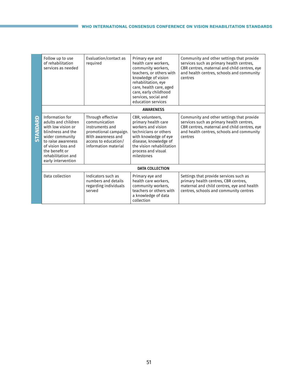|          | Follow up to use<br>of rehabilitation<br>services as needed                                                                                                                                                    | Evaluation/contact as<br>required                                                                                                                    | Primary eye and<br>health care workers,<br>community workers,<br>teachers, or others with<br>knowledge of vision<br>rehabilitation, eye<br>care, health care, aged<br>care, early childhood<br>services, social and<br>education services | Community and other settings that provide<br>services such as primary health centres,<br>CBR centres, maternal and child centres, eye<br>and health centres, schools and community<br>centres |
|----------|----------------------------------------------------------------------------------------------------------------------------------------------------------------------------------------------------------------|------------------------------------------------------------------------------------------------------------------------------------------------------|-------------------------------------------------------------------------------------------------------------------------------------------------------------------------------------------------------------------------------------------|-----------------------------------------------------------------------------------------------------------------------------------------------------------------------------------------------|
|          |                                                                                                                                                                                                                |                                                                                                                                                      | <b>AWARENESS</b>                                                                                                                                                                                                                          |                                                                                                                                                                                               |
| STANDARD | Information for<br>adults and children<br>with low vision or<br>blindness and the<br>wider community<br>to raise awareness<br>of vision loss and<br>the benefit or<br>rehabilitation and<br>early intervention | Through effective<br>communication<br>instruments and<br>promotional campaign.<br>With awareness and<br>access to education/<br>information material | CBR, volunteers,<br>primary health care<br>workers and vision<br>technicians or others<br>with knowledge of eye<br>disease, knowledge of<br>the vision rehabilitation<br>process and visual<br>milestones                                 | Community and other settings that provide<br>services such as primary health centres,<br>CBR centres, maternal and child centres, eye<br>and health centres, schools and community<br>centres |
|          |                                                                                                                                                                                                                |                                                                                                                                                      | <b>DATA COLLECTION</b>                                                                                                                                                                                                                    |                                                                                                                                                                                               |
|          | Data collection                                                                                                                                                                                                | Indicators such as<br>numbers and details<br>regarding individuals<br>served                                                                         | Primary eye and<br>health care workers,<br>community workers,<br>teachers or others with<br>a knowledge of data<br>collection                                                                                                             | Settings that provide services such as<br>primary health centres, CBR centres,<br>maternal and child centres, eye and health<br>centres, schools and community centres                        |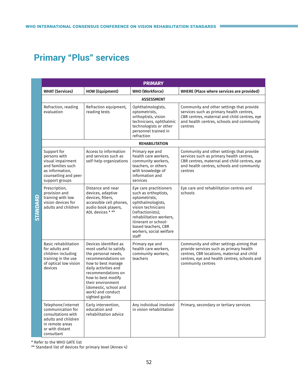### **Primary "Plus" services**

|                 |                                                                                                                                          |                                                                                                                                                                                                                                                                            | <b>PRIMARY</b>                                                                                                                                                                                                                                |                                                                                                                                                                                                        |
|-----------------|------------------------------------------------------------------------------------------------------------------------------------------|----------------------------------------------------------------------------------------------------------------------------------------------------------------------------------------------------------------------------------------------------------------------------|-----------------------------------------------------------------------------------------------------------------------------------------------------------------------------------------------------------------------------------------------|--------------------------------------------------------------------------------------------------------------------------------------------------------------------------------------------------------|
|                 | <b>WHAT (Services)</b>                                                                                                                   | HOW (Equipment)                                                                                                                                                                                                                                                            | WHO (Workforce)                                                                                                                                                                                                                               | <b>WHERE (Place where services are provided)</b>                                                                                                                                                       |
|                 |                                                                                                                                          |                                                                                                                                                                                                                                                                            | <b>ASSESSMENT</b>                                                                                                                                                                                                                             |                                                                                                                                                                                                        |
|                 | Refraction, reading<br>evaluation                                                                                                        | Refraction equipment,<br>reading tests                                                                                                                                                                                                                                     | Ophthalmologists,<br>optometrists.<br>orthoptists, vision<br>technicians, ophthalmic<br>technologists or other<br>personnel trained in<br>refraction                                                                                          | Community and other settings that provide<br>services such as primary health centres,<br>CBR centres, maternal and child centres, eye<br>and health centres, schools and community<br>centres          |
|                 |                                                                                                                                          |                                                                                                                                                                                                                                                                            | <b>REHABILITATION</b>                                                                                                                                                                                                                         |                                                                                                                                                                                                        |
|                 | Support for<br>persons with<br>visual impairment<br>and families such<br>as information,<br>counselling and peer<br>support groups       | Access to information<br>and services such as<br>self-help organizations                                                                                                                                                                                                   | Primary eye and<br>health care workers,<br>community workers.<br>teachers, or others<br>with knowledge of<br>information and<br>services                                                                                                      | Community and other settings that provide<br>services such as primary health centres,<br>CBR centres, maternal and child centres, eye<br>and health centres, schools and community<br>centres          |
| <b>STANDARD</b> | Prescription,<br>provision and<br>training with low<br>vision devices for<br>adults and children                                         | Distance and near<br>devices, adaptive<br>devices, filters,<br>accessible cell phones,<br>audio book players.<br>ADL devices * **                                                                                                                                          | Eye care practitioners<br>such as orthoptists,<br>optometrists.<br>ophthalmologists,<br>vision technicians<br>(refractionists).<br>rehabilitation workers.<br>itinerant or school-<br>based teachers. CBR<br>workers, social welfare<br>staff | Eye care and rehabilitation centres and<br>schools                                                                                                                                                     |
|                 | Basic rehabilitation<br>for adults and<br>children including<br>training in the use<br>of optical low vision<br>devices                  | Devices identified as<br>most useful to satisfy<br>the personal needs.<br>recommendations on<br>how to best manage<br>daily activities and<br>recommendations on<br>how to best modify<br>their environment<br>(domestic, school and<br>work) and conduct<br>sighted guide | Primary eye and<br>health care workers.<br>community workers.<br>teachers                                                                                                                                                                     | Community and other settings aiming that<br>provide services such as primary health<br>centres, CBR locations, maternal and child<br>centres, eye and health centres, schools and<br>community centres |
|                 | Telephone/internet<br>communication for<br>consultations with<br>adults and children<br>in remote areas<br>or with distant<br>consultant | Early intervention.<br>education and<br>rehabilitation advice                                                                                                                                                                                                              | Any individual involved<br>in vision rehabilitation                                                                                                                                                                                           | Primary, secondary or tertiary services                                                                                                                                                                |

\* Refer to the WHO GATE list

\*\* Standard list of devices for primary level (Annex 4)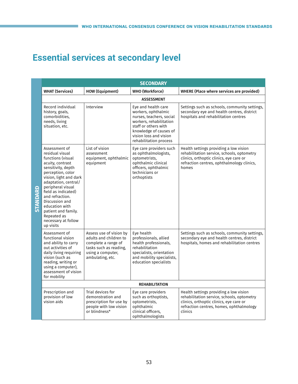## **Essential services at secondary level**

| <b>SECONDARY</b> |                                                                                                                                                                                                                                                                                                                                                     |                                                                                                                                             |                                                                                                                                                                                                         |                                                                                                                                                                                        |
|------------------|-----------------------------------------------------------------------------------------------------------------------------------------------------------------------------------------------------------------------------------------------------------------------------------------------------------------------------------------------------|---------------------------------------------------------------------------------------------------------------------------------------------|---------------------------------------------------------------------------------------------------------------------------------------------------------------------------------------------------------|----------------------------------------------------------------------------------------------------------------------------------------------------------------------------------------|
|                  | <b>WHAT (Services)</b>                                                                                                                                                                                                                                                                                                                              | HOW (Equipment)                                                                                                                             | WHO (Workforce)                                                                                                                                                                                         | WHERE (Place where services are provided)                                                                                                                                              |
|                  |                                                                                                                                                                                                                                                                                                                                                     |                                                                                                                                             | <b>ASSESSMENT</b>                                                                                                                                                                                       |                                                                                                                                                                                        |
|                  | Record individual<br>history, goals,<br>comorbidities,<br>needs, living<br>situation, etc.                                                                                                                                                                                                                                                          | Interview                                                                                                                                   | Eye and health care<br>workers, ophthalmic<br>nurses, teachers, social<br>workers, rehabilitation<br>staff or others with<br>knowledge of causes of<br>vision loss and vision<br>rehabilitation process | Settings such as schools, community settings,<br>secondary eye and health centres, district<br>hospitals and rehabilitation centres                                                    |
| STANDARD         | Assessment of<br>residual visual<br>functions (visual<br>acuity, contrast<br>sensitivity, depth<br>perception, color<br>vision, light and dark<br>adaptation, central/<br>peripheral visual<br>field as indicated)<br>and refraction.<br>Discussion and<br>education with<br>patient and family.<br>Repeated as<br>necessary at follow<br>up visits | List of vision<br>assessment<br>equipment, ophthalmic<br>equipment                                                                          | Eye care providers such<br>as ophthalmologists,<br>optometrists,<br>ophthalmic clinical<br>officers, ophthalmic<br>technicians or<br>orthoptists                                                        | Health settings providing a low vision<br>rehabilitation service, schools, optometry<br>clinics, orthoptic clinics, eye care or<br>refraction centres, ophthalmology clinics,<br>homes |
|                  | Assessment of<br>functional vision<br>and ability to carry<br>out activities of<br>daily living requiring<br>vision (such as<br>reading, writing or<br>using a computer),<br>assessment of vision<br>for mobility                                                                                                                                   | Assess use of vision by<br>adults and children to<br>complete a range of<br>tasks such as reading,<br>using a computer,<br>ambulating, etc. | Eye health<br>professionals, allied<br>health professionals,<br>rehabilitation<br>specialists, orientation<br>and mobility specialists,<br>education specialists                                        | Settings such as schools, community settings,<br>secondary eye and health centres, district<br>hospitals, homes and rehabilitation centres                                             |
|                  |                                                                                                                                                                                                                                                                                                                                                     |                                                                                                                                             | <b>REHABILITATION</b>                                                                                                                                                                                   |                                                                                                                                                                                        |
|                  | Prescription and<br>provision of low<br>vision aids                                                                                                                                                                                                                                                                                                 | Trial devices for<br>demonstration and<br>prescription for use by<br>people with low vision<br>or blindness*                                | Eye care providers<br>such as orthoptists,<br>optometrists,<br>ophthalmic<br>clinical officers.<br>ophthalmologists                                                                                     | Health settings providing a low vision<br>rehabilitation service, schools, optometry<br>clinics, orthoptic clinics, eye care or<br>refraction centres, homes, ophthalmology<br>clinics |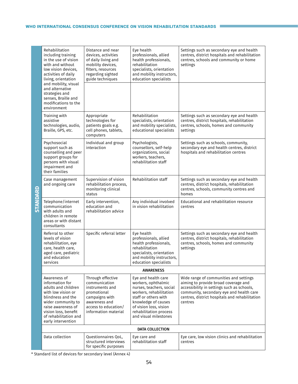|                 | Rehabilitation<br>including training<br>in the use of vision<br>with and without<br>low vision devices,<br>activities of daily<br>living, orientation                                                                | Distance and near<br>devices, activities<br>of daily living and<br>mobility devices,<br>filters, resources<br>regarding sighted<br>guide techniques     | Eye health<br>professionals, allied<br>health professionals,<br>rehabilitation<br>specialists, orientation<br>and mobility instructors,<br>education specialists                                                              | Settings such as secondary eye and health<br>centres, district hospitals and rehabilitation<br>centres, schools and community or home<br>settings                                                                                     |
|-----------------|----------------------------------------------------------------------------------------------------------------------------------------------------------------------------------------------------------------------|---------------------------------------------------------------------------------------------------------------------------------------------------------|-------------------------------------------------------------------------------------------------------------------------------------------------------------------------------------------------------------------------------|---------------------------------------------------------------------------------------------------------------------------------------------------------------------------------------------------------------------------------------|
|                 | and mobility, visual<br>and alternative<br>strategies and<br>senses, Braille and<br>modifications to the<br>environment                                                                                              |                                                                                                                                                         |                                                                                                                                                                                                                               |                                                                                                                                                                                                                                       |
|                 | Training with<br>assistive<br>technologies, audio,<br>Braille, GPS, etc.                                                                                                                                             | Appropriate<br>technologies for<br>patients goals e.g.<br>cell phones, tablets,<br>computers                                                            | Rehabilitation<br>specialists, orientation<br>and mobility specialists,<br>educational specialists                                                                                                                            | Settings such as secondary eye and health<br>centres, district hospitals, rehabilitation<br>centres, schools, homes and community<br>settings                                                                                         |
| <b>STANDARD</b> | Psychosocial<br>support such as<br>counselling and peer<br>support groups for<br>persons with visual<br>impairment and<br>their families                                                                             | Individual and group<br>interaction                                                                                                                     | Psychologists,<br>counsellors, self-help<br>organizations, social<br>workers, teachers,<br>rehabilitation staff                                                                                                               | Settings such as schools, community,<br>secondary eye and health centres, district<br>hospitals and rehabilitation centres                                                                                                            |
|                 | Case management<br>and ongoing care                                                                                                                                                                                  | Supervision of vision<br>rehabilitation process,<br>monitoring clinical<br>status                                                                       | <b>Rehabilitation staff</b>                                                                                                                                                                                                   | Settings such as secondary eye and health<br>centres, district hospitals, rehabilitation<br>centres, schools, community centres and<br>homes                                                                                          |
|                 | Telephone/internet<br>communication<br>with adults and<br>children in remote<br>areas or with distant<br>consultants                                                                                                 | Early intervention,<br>education and<br>rehabilitation advice                                                                                           | Any individual involved<br>in vision rehabilitation                                                                                                                                                                           | Educational and rehabilitation resource<br>centres                                                                                                                                                                                    |
|                 | Referral to other<br>levels of vision<br>rehabilitation, eye<br>care, health care,<br>aged care, pediatric<br>and education<br>services                                                                              | Specific referral letter                                                                                                                                | Eye health<br>professionals, allied<br>health professionals,<br>rehabilitation<br>specialists, orientation<br>and mobility instructors,<br>education specialists                                                              | Settings such as secondary eye and health<br>centres, district hospitals, rehabilitation<br>centres, schools, homes and community<br>settings                                                                                         |
|                 |                                                                                                                                                                                                                      |                                                                                                                                                         | <b>AWARENESS</b>                                                                                                                                                                                                              |                                                                                                                                                                                                                                       |
|                 | Awareness of<br>information for<br>adults and children<br>with low vision or<br>blindness and the<br>wider community to<br>raise awareness of<br>vision loss, benefit<br>of rehabilitation and<br>early intervention | Through effective<br>communication<br>instruments and<br>promotional<br>campaigns with<br>awareness and<br>access to education/<br>information material | Eye and health care<br>workers, ophthalmic<br>nurses, teachers, social<br>workers, rehabilitation<br>staff or others with<br>knowledge of causes<br>of vision loss, vision<br>rehabilitation process<br>and visual milestones | Wide range of communities and settings<br>aiming to provide broad coverage and<br>accessibility in settings such as schools,<br>community, secondary eye and health care<br>centres, district hospitals and rehabilitation<br>centres |
|                 |                                                                                                                                                                                                                      |                                                                                                                                                         | <b>DATA COLLECTION</b>                                                                                                                                                                                                        |                                                                                                                                                                                                                                       |
|                 | Data collection                                                                                                                                                                                                      | Questionnaires QoL,<br>structured interviews<br>for specific purposes                                                                                   | Eye care and<br>rehabilitation staff                                                                                                                                                                                          | Eye care, low vision clinics and rehabilitation<br>centres                                                                                                                                                                            |
|                 |                                                                                                                                                                                                                      |                                                                                                                                                         |                                                                                                                                                                                                                               |                                                                                                                                                                                                                                       |

\* Standard list of devices for secondary level (Annex 4)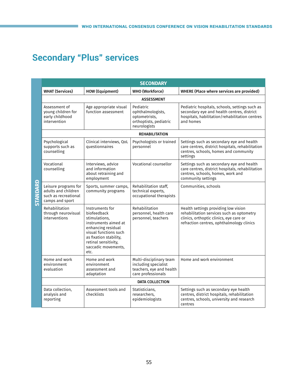## **Secondary "Plus" services**

|                 | <b>SECONDARY</b>                                                                       |                                                                                                                                                                                                         |                                                                                                   |                                                                                                                                                                           |
|-----------------|----------------------------------------------------------------------------------------|---------------------------------------------------------------------------------------------------------------------------------------------------------------------------------------------------------|---------------------------------------------------------------------------------------------------|---------------------------------------------------------------------------------------------------------------------------------------------------------------------------|
|                 | <b>WHAT (Services)</b>                                                                 | HOW (Equipment)                                                                                                                                                                                         | WHO (Workforce)                                                                                   | WHERE (Place where services are provided)                                                                                                                                 |
|                 |                                                                                        |                                                                                                                                                                                                         | <b>ASSESSMENT</b>                                                                                 |                                                                                                                                                                           |
|                 | Assessment of<br>young children for<br>early childhood<br>intervention                 | Age appropriate visual<br>function assessment                                                                                                                                                           | Pediatric<br>ophthalmologists,<br>optometrists.<br>orthoptists, pediatric<br>neurologists         | Pediatric hospitals, schools, settings such as<br>secondary eye and health centres, district<br>hospitals, habilitation/rehabilitation centres<br>and homes               |
|                 |                                                                                        |                                                                                                                                                                                                         | <b>REHABILITATION</b>                                                                             |                                                                                                                                                                           |
|                 | Psychological<br>supports such as<br>counselling                                       | Clinical interviews, QoL<br>questionnaires                                                                                                                                                              | Psychologists or trained<br>personnel                                                             | Settings such as secondary eye and health<br>care centres, district hospitals, rehabilitation<br>centres, schools, homes and community<br>settings                        |
|                 | Vocational<br>counselling                                                              | Interviews, advice<br>and information<br>about retraining and<br>employment                                                                                                                             | Vocational counsellor                                                                             | Settings such as secondary eye and health<br>care centres, district hospitals, rehabilitation<br>centres, schools, homes, work and<br>community settings                  |
| <b>STANDARD</b> | Leisure programs for<br>adults and children<br>such as recreational<br>camps and sport | Sports, summer camps,<br>community programs                                                                                                                                                             | Rehabilitation staff,<br>technical experts,<br>occupational therapists                            | Communities, schools                                                                                                                                                      |
|                 | Rehabilitation<br>through neurovisual<br>interventions                                 | Instruments for<br>biofeedback<br>stimulations.<br>instruments aimed at<br>enhancing residual<br>visual functions such<br>as fixation stability,<br>retinal sensitivity,<br>saccadic movements,<br>etc. | Rehabilitation<br>personnel, health care<br>personnel, teachers                                   | Health settings providing low vision<br>rehabilitation services such as optometry<br>clinics, orthoptic clinics, eye care or<br>refraction centres, ophthalmology clinics |
|                 | Home and work<br>environment<br>evaluation                                             | Home and work<br>environment<br>assessment and<br>adaptation                                                                                                                                            | Multi-disciplinary team<br>including specialist<br>teachers, eye and health<br>care professionals | Home and work environment                                                                                                                                                 |
|                 |                                                                                        |                                                                                                                                                                                                         | <b>DATA COLLECTION</b>                                                                            |                                                                                                                                                                           |
|                 | Data collection.<br>analysis and<br>reporting                                          | Assessment tools and<br>checklists                                                                                                                                                                      | Statisticians.<br>researchers.<br>epidemiologists                                                 | Settings such as secondary eye health<br>centres, district hospitals, rehabilitation<br>centres, schools, university and research<br>centres                              |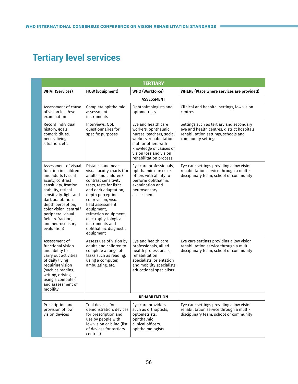## **Tertiary level services**

|                                                                                                                                                                                                                                                                                                                  | <b>TERTIARY</b>                                                                                                                                                                                                                                                                                                                            |                                                                                                                                                                                                         |                                                                                                                                                      |  |  |  |
|------------------------------------------------------------------------------------------------------------------------------------------------------------------------------------------------------------------------------------------------------------------------------------------------------------------|--------------------------------------------------------------------------------------------------------------------------------------------------------------------------------------------------------------------------------------------------------------------------------------------------------------------------------------------|---------------------------------------------------------------------------------------------------------------------------------------------------------------------------------------------------------|------------------------------------------------------------------------------------------------------------------------------------------------------|--|--|--|
| <b>WHAT (Services)</b>                                                                                                                                                                                                                                                                                           | HOW (Equipment)                                                                                                                                                                                                                                                                                                                            | WHO (Workforce)                                                                                                                                                                                         | WHERE (Place where services are provided)                                                                                                            |  |  |  |
|                                                                                                                                                                                                                                                                                                                  |                                                                                                                                                                                                                                                                                                                                            | <b>ASSESSMENT</b>                                                                                                                                                                                       |                                                                                                                                                      |  |  |  |
| Assessment of cause<br>of vision loss/eve<br>examination                                                                                                                                                                                                                                                         | Complete ophthalmic<br>assessment<br>instruments                                                                                                                                                                                                                                                                                           | Ophthalmologists and<br>optometrists                                                                                                                                                                    | Clinical and hospital settings, low vision<br>centres                                                                                                |  |  |  |
| Record individual<br>history, goals,<br>comorbidities,<br>needs, living<br>situation, etc.                                                                                                                                                                                                                       | Interviews, QoL<br>questionnaires for<br>specific purposes                                                                                                                                                                                                                                                                                 | Eye and health care<br>workers, ophthalmic<br>nurses, teachers, social<br>workers, rehabilitation<br>staff or others with<br>knowledge of causes of<br>vision loss and vision<br>rehabilitation process | Settings such as tertiary and secondary<br>eye and health centres, district hospitals,<br>rehabilitation settings, schools and<br>community settings |  |  |  |
| Assessment of visual<br>function in children<br>and adults (visual<br>acuity, contrast<br>sensitivity, fixation<br>stability, retinal<br>sensitivity, light and<br>dark adaptation,<br>depth perception,<br>color vision, central/<br>peripheral visual<br>field, refraction,<br>and neurosensory<br>evaluation) | Distance and near<br>visual acuity charts (for<br>adults and children).<br>contrast sensitivity<br>tests, tests for light<br>and dark adaptation.<br>depth perception.<br>color vision, visual<br>field assessment<br>equipment.<br>refraction equipment,<br>electrophysiological<br>instruments and<br>ophthalmic diagnostic<br>equipment | Eye care professionals,<br>ophthalmic nurses or<br>others with ability to<br>perform ophthalmic<br>examination and<br>neurosensory<br>assessment                                                        | Eye care settings providing a low vision<br>rehabilitation service through a multi-<br>disciplinary team, school or community                        |  |  |  |
| Assessment of<br>functional vision<br>and ability to<br>carry out activities<br>of daily living<br>requiring vision<br>(such as reading,<br>writing, driving,<br>using a computer)<br>and assessment of<br>mobility                                                                                              | Assess use of vision by<br>adults and children to<br>complete a range of<br>tasks such as reading.<br>using a computer,<br>ambulating, etc.                                                                                                                                                                                                | Eye and health care<br>professionals, allied<br>health professionals,<br>rehabilitation<br>specialists, orientation<br>and mobility specialists,<br>educational specialists                             | Eye care settings providing a low vision<br>rehabilitation service through a multi-<br>disciplinary team, school or community                        |  |  |  |
|                                                                                                                                                                                                                                                                                                                  | <b>REHABILITATION</b>                                                                                                                                                                                                                                                                                                                      |                                                                                                                                                                                                         |                                                                                                                                                      |  |  |  |
| Prescription and<br>provision of low<br>vision devices                                                                                                                                                                                                                                                           | Trial devices for<br>demonstration; devices<br>for prescription and<br>use by people with<br>low vision or blind (list<br>of devices for tertiary<br>centres)                                                                                                                                                                              | Eye care providers<br>such as orthoptists,<br>optometrists.<br>ophthalmic<br>clinical officers,<br>ophthalmologists                                                                                     | Eye care settings providing a low vision<br>rehabilitation service through a multi-<br>disciplinary team, school or community                        |  |  |  |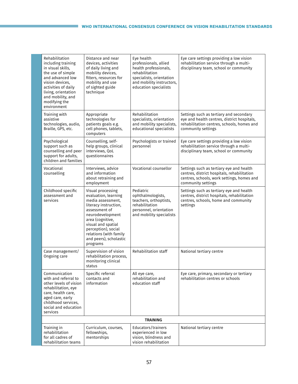| Rehabilitation<br>including training<br>in visual skills,<br>the use of simple<br>and advanced low<br>vision devices.<br>activities of daily<br>living, orientation<br>and mobility, and<br>modifying the<br>environment | Distance and near<br>devices, activities<br>of daily living and<br>mobility devices,<br>filters, resources for<br>mobility and use<br>of sighted guide<br>technique                                                                                           | Eye health<br>professionals, allied<br>health professionals,<br>rehabilitation<br>specialists, orientation<br>and mobility instructors,<br>education specialists | Eye care settings providing a low vision<br>rehabilitation service through a multi-<br>disciplinary team, school or community                               |
|--------------------------------------------------------------------------------------------------------------------------------------------------------------------------------------------------------------------------|---------------------------------------------------------------------------------------------------------------------------------------------------------------------------------------------------------------------------------------------------------------|------------------------------------------------------------------------------------------------------------------------------------------------------------------|-------------------------------------------------------------------------------------------------------------------------------------------------------------|
| Training with<br>assistive<br>technologies, audio,<br>Braille, GPS, etc.                                                                                                                                                 | Appropriate<br>technologies for<br>patients goals e.g.<br>cell phones, tablets,<br>computers                                                                                                                                                                  | Rehabilitation<br>specialists, orientation<br>and mobility specialists,<br>educational specialists                                                               | Settings such as tertiary and secondary<br>eye and health centres, district hospitals,<br>rehabilitation centres, schools, homes and<br>community settings  |
| Psychological<br>support such as<br>counselling and peer<br>support for adults,<br>children and families                                                                                                                 | Counselling, self-<br>help groups, clinical<br>interviews, QoL<br>questionnaires                                                                                                                                                                              | Psychologists or trained<br>personnel                                                                                                                            | Eye care settings providing a low vision<br>rehabilitation service through a multi-<br>disciplinary team, school or community                               |
| Vocational<br>counselling                                                                                                                                                                                                | Interviews, advice<br>and information<br>about retraining and<br>employment                                                                                                                                                                                   | Vocational counsellor                                                                                                                                            | Settings such as tertiary eye and health<br>centres, district hospitals, rehabilitation<br>centres, schools, work settings, homes and<br>community settings |
| Childhood specific<br>assessment and<br>services                                                                                                                                                                         | Visual processing<br>evaluation, learning<br>media assessment,<br>literacy instruction,<br>assessment of<br>neurodevelopment<br>area (cognitive,<br>visual and spatial<br>perception), social<br>relations (with family<br>and peers), scholastic<br>programs | Pediatric<br>ophthalmologists,<br>teachers, orthoptists,<br>rehabilitation<br>personnel, orientation<br>and mobility specialists                                 | Settings such as tertiary eye and health<br>centres, district hospitals, rehabilitation<br>centres, schools, home and community<br>settings                 |
| Case management/<br>Ongoing care                                                                                                                                                                                         | Supervision of vision<br>rehabilitation process.<br>monitoring clinical<br>status                                                                                                                                                                             | Rehabilitation staff                                                                                                                                             | National tertiary centre                                                                                                                                    |
| Communication<br>with and referral to<br>other levels of vision<br>rehabilitation, eve<br>care, health care,<br>aged care, early<br>childhood services,<br>social and education<br>services                              | Specific referral<br>contacts and<br>information                                                                                                                                                                                                              | All eye care,<br>rehabilitation and<br>education staff                                                                                                           | Eye care, primary, secondary or tertiary<br>rehabilitation centres or schools                                                                               |
|                                                                                                                                                                                                                          |                                                                                                                                                                                                                                                               | <b>TRAINING</b>                                                                                                                                                  |                                                                                                                                                             |
| Training in<br>rehabilitation<br>for all cadres of<br>rehabilitation teams                                                                                                                                               | Curriculum, courses,<br>fellowships,<br>mentorships                                                                                                                                                                                                           | Educators/trainers<br>experienced in low<br>vision, blindness and<br>vision rehabilitation                                                                       | National tertiary centre                                                                                                                                    |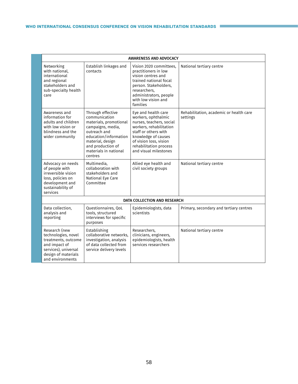|                                                                                                                                                 | <b>AWARENESS AND ADVOCACY</b>                                                                                                                                                                           |                                                                                                                                                                                                                               |                                                     |  |  |  |
|-------------------------------------------------------------------------------------------------------------------------------------------------|---------------------------------------------------------------------------------------------------------------------------------------------------------------------------------------------------------|-------------------------------------------------------------------------------------------------------------------------------------------------------------------------------------------------------------------------------|-----------------------------------------------------|--|--|--|
| Networking<br>with national.<br>international<br>and regional<br>stakeholders and<br>sub-specialty health<br>care                               | Establish linkages and<br>contacts                                                                                                                                                                      | Vision 2020 committees,<br>practitioners in low<br>vision centres and<br>trained national focal<br>person. Stakeholders.<br>researchers,<br>administrators, people<br>with low vision and<br>families                         | National tertiary centre                            |  |  |  |
| Awareness and<br>information for<br>adults and children<br>with low vision or<br>blindness and the<br>wider community                           | Through effective<br>communication<br>materials, promotional<br>campaigns, media,<br>outreach and<br>education/information<br>material, design<br>and production of<br>materials in national<br>centres | Eye and health care<br>workers, ophthalmic<br>nurses, teachers, social<br>workers, rehabilitation<br>staff or others with<br>knowledge of causes<br>of vision loss, vision<br>rehabilitation process<br>and visual milestones | Rehabilitation, academic or health care<br>settings |  |  |  |
| Advocacy on needs<br>of people with<br>irreversible vision<br>loss, policies on<br>development and<br>sustainability of<br>services             | Multimedia,<br>collaboration with<br>stakeholders and<br>National Eye Care<br>Committee                                                                                                                 | Allied eye health and<br>civil society groups                                                                                                                                                                                 | National tertiary centre                            |  |  |  |
|                                                                                                                                                 |                                                                                                                                                                                                         | DATA COLLECTION AND RESEARCH                                                                                                                                                                                                  |                                                     |  |  |  |
| Data collection,<br>analysis and<br>reporting                                                                                                   | Questionnaires, QoL<br>tools, structured<br>interviews for specific<br>purposes                                                                                                                         | Epidemiologists, data<br>scientists                                                                                                                                                                                           | Primary, secondary and tertiary centres             |  |  |  |
| Research (new<br>technologies, novel<br>treatments, outcome<br>and impact of<br>services), universal<br>design of materials<br>and environments | Establishing<br>collaborative networks,<br>investigation, analysis<br>of data collected from<br>service delivery levels                                                                                 | Researchers.<br>clinicians, engineers,<br>epidemiologists, health<br>services researchers                                                                                                                                     | National tertiary centre                            |  |  |  |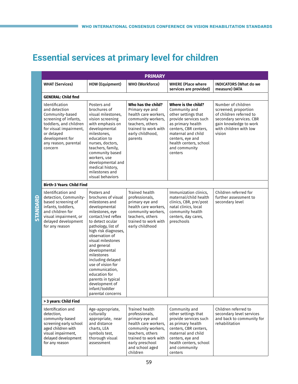## **Essential services at primary level for children**

|          | <b>PRIMARY</b>                                                                                                                                                                                      |                                                                                                                                                                                                                                                                                                                                                                                                                                   |                                                                                                                                                                                                 |                                                                                                                                                                                                                                    |                                                                                                                                                                |  |  |
|----------|-----------------------------------------------------------------------------------------------------------------------------------------------------------------------------------------------------|-----------------------------------------------------------------------------------------------------------------------------------------------------------------------------------------------------------------------------------------------------------------------------------------------------------------------------------------------------------------------------------------------------------------------------------|-------------------------------------------------------------------------------------------------------------------------------------------------------------------------------------------------|------------------------------------------------------------------------------------------------------------------------------------------------------------------------------------------------------------------------------------|----------------------------------------------------------------------------------------------------------------------------------------------------------------|--|--|
|          | <b>WHAT (Services)</b>                                                                                                                                                                              | <b>HOW (Equipment)</b>                                                                                                                                                                                                                                                                                                                                                                                                            | WHO (Workforce)                                                                                                                                                                                 | <b>WHERE (Place where</b><br>services are provided)                                                                                                                                                                                | <b>INDICATORS (What do we</b><br>measure) DATA                                                                                                                 |  |  |
|          | <b>GENERAL: Child find</b>                                                                                                                                                                          |                                                                                                                                                                                                                                                                                                                                                                                                                                   |                                                                                                                                                                                                 |                                                                                                                                                                                                                                    |                                                                                                                                                                |  |  |
|          | Identification<br>and detection<br>Community-based<br>screening of infants,<br>toddlers, and children<br>for visual impairment,<br>or delayed<br>development for<br>any reason, parental<br>concern | Posters and<br>brochures of<br>visual milestones.<br>vision screening<br>with emphasis on<br>developmental<br>milestones.<br>education to<br>nurses, doctors,<br>teachers, family,<br>community based<br>workers, use<br>developmental and<br>medical history,<br>milestones and<br>visual behaviors                                                                                                                              | Who has the child?<br>Primary eye and<br>health care workers,<br>community workers,<br>teachers, others<br>trained to work with<br>early childhood,<br>parents                                  | Where is the child?<br>Community and<br>other settings that<br>provide services such<br>as primary health<br>centers, CBR centers,<br>maternal and child<br>centers, eye and<br>health centers, school<br>and community<br>centers | Number of children<br>screened; proportion<br>of children referred to<br>secondary services. CBR<br>gain knowledge to work<br>with children with low<br>vision |  |  |
|          | <b>Birth-3 Years: Child Find</b>                                                                                                                                                                    |                                                                                                                                                                                                                                                                                                                                                                                                                                   |                                                                                                                                                                                                 |                                                                                                                                                                                                                                    |                                                                                                                                                                |  |  |
| STANDARD | Identification and<br>detection, Community-<br>based screening of<br>infants, toddlers,<br>and children for<br>visual impairment, or<br>delayed development<br>for any reason                       | Posters and<br>brochures of visual<br>milestones and<br>developmental<br>milestones, eve<br>contact/red reflex<br>to detect ocular<br>pathology, list of<br>high risk diagnoses,<br>observation of<br>visual milestones<br>and general<br>developmental<br>milestones<br>including delayed<br>use of vision for<br>communication.<br>education for<br>parents in typical<br>development of<br>infant/toddler<br>parental concerns | Trained health<br>professionals,<br>primary eye and<br>health care workers.<br>community workers,<br>teachers, others<br>trained to work with<br>early childhood                                | Immunization clinics.<br>maternal/child health<br>clinics, CBR, pre/post<br>natal clinics, local<br>community health<br>centers, day cares,<br>preschools                                                                          | Children referred for<br>further assessment to<br>secondary level                                                                                              |  |  |
|          | > 3 years: Child Find                                                                                                                                                                               |                                                                                                                                                                                                                                                                                                                                                                                                                                   |                                                                                                                                                                                                 |                                                                                                                                                                                                                                    |                                                                                                                                                                |  |  |
|          | Identification and<br>detection,<br>community-based<br>screening early school<br>aged children with<br>visual impairment,<br>delayed development<br>for any reason                                  | Age-appropriate,<br>culturally<br>appropriate, near<br>and distance<br>charts, LEA<br>symbols test.<br>thorough visual<br>assessment                                                                                                                                                                                                                                                                                              | Trained health<br>professionals,<br>primary eye and<br>health care workers,<br>community workers,<br>teachers, others<br>trained to work with<br>early preschool<br>and school aged<br>children | Community and<br>other settings that<br>provide services such<br>as primary health<br>centers, CBR centers,<br>maternal and child<br>centers, eye and<br>health centers, school<br>and community<br>centers                        | Children referred to<br>secondary level services<br>and back to community for<br>rehabilitation                                                                |  |  |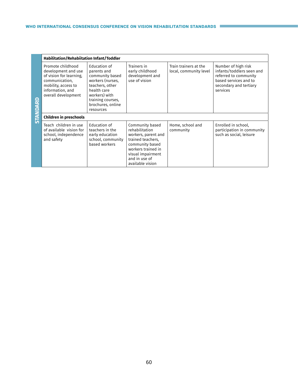|          | Habilitation/Rehabiitation Infant/Toddler                                                                                                               |                                                                                                                                                                              |                                                                                                                                                                                  |                                                 |                                                                                                                                          |  |  |
|----------|---------------------------------------------------------------------------------------------------------------------------------------------------------|------------------------------------------------------------------------------------------------------------------------------------------------------------------------------|----------------------------------------------------------------------------------------------------------------------------------------------------------------------------------|-------------------------------------------------|------------------------------------------------------------------------------------------------------------------------------------------|--|--|
| STANDARD | Promote childhood<br>development and use<br>of vision for learning,<br>communication.<br>mobility, access to<br>information, and<br>overall development | Education of<br>parents and<br>community based<br>workers (nurses,<br>teachers, other<br>health care<br>workers) with<br>training courses,<br>brochures, online<br>resources | Trainers in<br>early childhood<br>development and<br>use of vision                                                                                                               | Train trainers at the<br>local, community level | Number of high risk<br>infants/toddlers seen and<br>referred to community<br>based services and to<br>secondary and tertiary<br>services |  |  |
|          | <b>Children in preschools</b>                                                                                                                           |                                                                                                                                                                              |                                                                                                                                                                                  |                                                 |                                                                                                                                          |  |  |
|          | Teach children in use<br>of available vision for<br>school, independence<br>and safety                                                                  | Education of<br>teachers in the<br>early education<br>school, community<br>based workers                                                                                     | Community based<br>rehabilitation<br>workers, parent and<br>trained teachers.<br>community based<br>workers trained in<br>visual impairment<br>and in use of<br>available vision | Home, school and<br>community                   | Enrolled in school,<br>participation in community<br>such as social, leisure                                                             |  |  |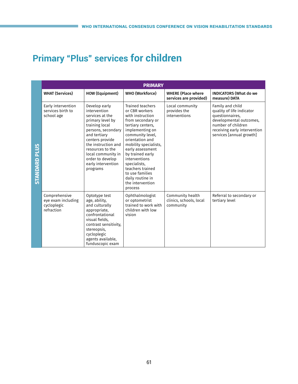# **Primary "Plus" services for children**

|               |                                                                  |                                                                                                                                                                                                                                                                        | <b>PRIMARY</b>                                                                                                                                                                                                                                                                                                                                                |                                                          |                                                                                                                                                                               |
|---------------|------------------------------------------------------------------|------------------------------------------------------------------------------------------------------------------------------------------------------------------------------------------------------------------------------------------------------------------------|---------------------------------------------------------------------------------------------------------------------------------------------------------------------------------------------------------------------------------------------------------------------------------------------------------------------------------------------------------------|----------------------------------------------------------|-------------------------------------------------------------------------------------------------------------------------------------------------------------------------------|
|               | <b>WHAT (Services)</b>                                           | HOW (Equipment)                                                                                                                                                                                                                                                        | WHO (Workforce)                                                                                                                                                                                                                                                                                                                                               | <b>WHERE (Place where</b><br>services are provided)      | <b>INDICATORS (What do we</b><br>measure) DATA                                                                                                                                |
| STANDARD PLUS | Early intervention<br>services birth to<br>school age            | Develop early<br>intervention<br>services at the<br>primary level by<br>training local<br>persons, secondary<br>and tertiary<br>centers provide<br>the instruction and<br>resources to the<br>local community in<br>order to develop<br>early intervention<br>programs | <b>Trained teachers</b><br>or CBR workers<br>with instruction<br>from secondary or<br>tertiary centers,<br>implementing on<br>community level,<br>orientation and<br>mobility specialists,<br>early assessment<br>by trained early<br>interventions<br>specialists.<br>teachers trained<br>to use families<br>daily routine in<br>the intervention<br>process | Local community<br>provides the<br>interventions         | Family and child<br>quality of life indicator<br>questionnaires.<br>developmental outcomes.<br>number of children<br>receiving early intervention<br>services [annual growth] |
|               | Comprehensive<br>eye exam including<br>cycloplegic<br>refraction | Optotype test<br>age, ability,<br>and culturally<br>appropriate.<br>confrontational<br>visual fields,<br>contrast sensitivity.<br>stereopsis,<br>cycloplegic<br>agents available,<br>funduscopic exam                                                                  | Ophthalmologist<br>or optometrist<br>trained to work with<br>children with low<br>vision                                                                                                                                                                                                                                                                      | Community health<br>clinics, schools, local<br>community | Referral to secondary or<br>tertiary level                                                                                                                                    |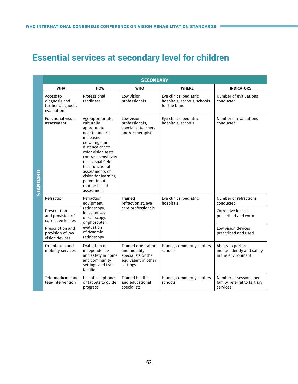### **Essential services at secondary level for children**

|                 | <b>SECONDARY</b>                                               |                                                                                                                                                                                                                                                                                                      |                                                                                              |                                                                        |                                                                      |  |
|-----------------|----------------------------------------------------------------|------------------------------------------------------------------------------------------------------------------------------------------------------------------------------------------------------------------------------------------------------------------------------------------------------|----------------------------------------------------------------------------------------------|------------------------------------------------------------------------|----------------------------------------------------------------------|--|
|                 | <b>WHAT</b>                                                    | <b>HOW</b>                                                                                                                                                                                                                                                                                           | <b>WHO</b>                                                                                   | <b>WHERE</b>                                                           | <b>INDICATORS</b>                                                    |  |
| <b>STANDARD</b> | Access to<br>diagnosis and<br>further diagnostic<br>evaluation | Professional<br>readiness                                                                                                                                                                                                                                                                            | Low vision<br>professionals                                                                  | Eye clinics, pediatric<br>hospitals, schools, schools<br>for the blind | Number of evaluations<br>conducted                                   |  |
|                 | <b>Functional visual</b><br>assessment                         | Age-appropriate,<br>culturally<br>appropriate<br>near (standard<br>increased<br>crowding) and<br>distance charts,<br>color vision tests.<br>contrast sensitivity<br>test, visual field<br>test, functional<br>assessments of<br>vision for learning,<br>parent input,<br>routine based<br>assessment | Low vision<br>professionals,<br>specialist teachers<br>and/or therapists                     | Eye clinics, pediatric<br>hospitals, schools                           | Number of evaluations<br>conducted                                   |  |
|                 | Refraction                                                     | Refraction<br>equipment:<br>retinoscopy,<br>loose lenses<br>or sciascopy,<br>or phoropter,<br>evaluation<br>of dynamic<br>retinoscopy                                                                                                                                                                | Trained<br>refractionist, eye<br>care professionals                                          | Eye clinics, pediatric<br>hospitals                                    | Number of refractions<br>conducted                                   |  |
|                 | Prescription<br>and provision of<br>corrective lenses          |                                                                                                                                                                                                                                                                                                      |                                                                                              |                                                                        | Corrective lenses<br>prescribed and worn                             |  |
|                 | Prescription and<br>provision of low<br>vision devices         |                                                                                                                                                                                                                                                                                                      |                                                                                              |                                                                        | Low vision devices<br>prescribed and used                            |  |
|                 | Orientation and<br>mobility services                           | Evaluation of<br>independence<br>and safety in home<br>and community<br>settings and train<br>families                                                                                                                                                                                               | Trained orientation<br>and mobility<br>specialists or the<br>equivalent in other<br>settings | Homes, community centers,<br>schools                                   | Ability to perform<br>independently and safely<br>in the environment |  |
|                 | Tele-medicine and<br>tele-intervention                         | Use of cell phones<br>or tablets to guide<br>progress                                                                                                                                                                                                                                                | <b>Trained health</b><br>and educational<br>specialists                                      | Homes, community centers,<br>schools                                   | Number of sessions per<br>family, referral to tertiary<br>services   |  |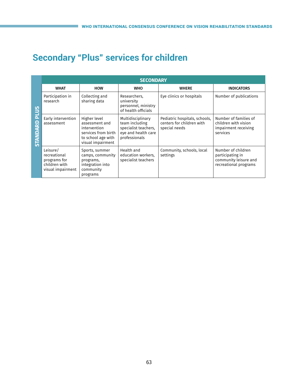## **Secondary "Plus" services for children**

|   |                                                                                |                                                                                                                  | <b>SECONDARY</b>                                                                                    |                                                                             |                                                                                          |
|---|--------------------------------------------------------------------------------|------------------------------------------------------------------------------------------------------------------|-----------------------------------------------------------------------------------------------------|-----------------------------------------------------------------------------|------------------------------------------------------------------------------------------|
|   | <b>WHAT</b>                                                                    | <b>HOW</b>                                                                                                       | <b>WHO</b>                                                                                          | <b>WHERE</b>                                                                | <b>INDICATORS</b>                                                                        |
| Δ | Participation in<br>research                                                   | Collecting and<br>sharing data                                                                                   | Researchers.<br>university<br>personnel, ministry<br>of health officials                            | Eye clinics or hospitals                                                    | Number of publications                                                                   |
|   | Early intervention<br>assessment                                               | Higher level<br>assessment and<br>intervention<br>services from birth<br>to school age with<br>visual impairment | Multidisciplinary<br>team including<br>specialist teachers,<br>eve and health care<br>professionals | Pediatric hospitals, schools,<br>centers for children with<br>special needs | Number of families of<br>children with vision<br>impairment receiving<br>services        |
|   | Leisure/<br>recreational<br>programs for<br>children with<br>visual impairment | Sports, summer<br>camps, community<br>programs,<br>integration into<br>community<br>programs                     | Health and<br>education workers,<br>specialist teachers                                             | Community, schools, local<br>settings                                       | Number of children<br>participating in<br>community leisure and<br>recreational programs |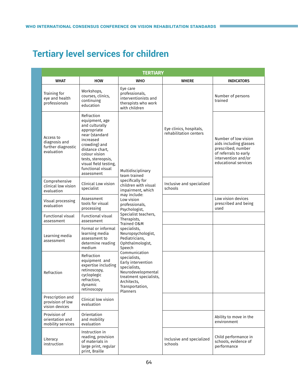### **Tertiary level services for children**

| <b>TERTIARY</b>                                                |                                                                                                                                                                                                                                     |                                                                                                                                                                                                                                                                                                                                                                                                                                                                                      |                                                   |                                                                                                                                              |  |
|----------------------------------------------------------------|-------------------------------------------------------------------------------------------------------------------------------------------------------------------------------------------------------------------------------------|--------------------------------------------------------------------------------------------------------------------------------------------------------------------------------------------------------------------------------------------------------------------------------------------------------------------------------------------------------------------------------------------------------------------------------------------------------------------------------------|---------------------------------------------------|----------------------------------------------------------------------------------------------------------------------------------------------|--|
| <b>WHAT</b>                                                    | <b>HOW</b>                                                                                                                                                                                                                          | <b>WHO</b>                                                                                                                                                                                                                                                                                                                                                                                                                                                                           | <b>WHERE</b>                                      | <b>INDICATORS</b>                                                                                                                            |  |
| Training for<br>eye and health<br>professionals                | Workshops,<br>courses, clinics,<br>continuing<br>education                                                                                                                                                                          | Eye care<br>professionals,<br>interventionists and<br>therapists who work<br>with children                                                                                                                                                                                                                                                                                                                                                                                           |                                                   | Number of persons<br>trained                                                                                                                 |  |
| Access to<br>diagnosis and<br>further diagnostic<br>evaluation | Refraction<br>equipment, age<br>and culturally<br>appropriate<br>near (standard<br>increased<br>crowding) and<br>distance chart,<br>colour vision<br>tests, stereopsis,<br>visual field testing,<br>functional visual<br>assessment | Multidisciplinary<br>team trained<br>specifically for<br>children with visual<br>impairment, which<br>may include:<br>Low vision<br>professionals,<br>Psychologist.<br>Specialist teachers,<br>Therapists,<br>Trained O&M<br>specialists,<br>Neuropsychologist,<br>Pediatricians,<br>Ophthalmologist,<br>Speech<br>Communication<br>specialists,<br>Early intervention<br>specialists,<br>Neurodevelopmental<br>treatment specialists,<br>Architects,<br>Transportation,<br>Planners | Eye clinics, hospitals,<br>rehabilitation centers | Number of low vision<br>aids including glasses<br>prescribed; number<br>of referrals to early<br>intervention and/or<br>educational services |  |
| Comprehensive<br>clinical low vision<br>evaluation             | Clinical Low vision<br>specialist                                                                                                                                                                                                   |                                                                                                                                                                                                                                                                                                                                                                                                                                                                                      | Inclusive and specialized<br>schools              |                                                                                                                                              |  |
| Visual processing<br>evaluation                                | Assessment<br>tools for visual<br>processing                                                                                                                                                                                        |                                                                                                                                                                                                                                                                                                                                                                                                                                                                                      |                                                   | Low vision devices<br>prescribed and being<br>used                                                                                           |  |
| <b>Functional visual</b><br>assessment                         | <b>Functional visual</b><br>assessment                                                                                                                                                                                              |                                                                                                                                                                                                                                                                                                                                                                                                                                                                                      |                                                   |                                                                                                                                              |  |
| Learning media<br>assessment                                   | Formal or informal<br>learning media<br>assessment to<br>determine reading<br>medium                                                                                                                                                |                                                                                                                                                                                                                                                                                                                                                                                                                                                                                      |                                                   |                                                                                                                                              |  |
| Refraction                                                     | Refraction<br>equipment and<br>expertise including<br>retinoscopy,<br>cycloplegic<br>refraction,<br>dynamic<br>retinoscopy                                                                                                          |                                                                                                                                                                                                                                                                                                                                                                                                                                                                                      |                                                   |                                                                                                                                              |  |
| Prescription and<br>provision of low<br>vision devices         | Clinical low vision<br>evaluation                                                                                                                                                                                                   |                                                                                                                                                                                                                                                                                                                                                                                                                                                                                      |                                                   |                                                                                                                                              |  |
| Provision of<br>orientation and<br>mobility services           | Orientation<br>and mobility<br>evaluation                                                                                                                                                                                           |                                                                                                                                                                                                                                                                                                                                                                                                                                                                                      |                                                   | Ability to move in the<br>environment                                                                                                        |  |
| Literacy<br>instruction                                        | Instruction in<br>reading, provision<br>of materials in<br>large print, regular<br>print, Braille                                                                                                                                   |                                                                                                                                                                                                                                                                                                                                                                                                                                                                                      | Inclusive and specialized<br>schools              | Child performance in<br>schools, evidence of<br>performance                                                                                  |  |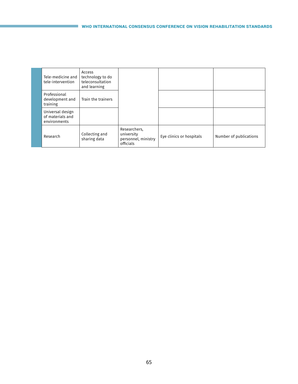| Tele-medicine and<br>tele-intervention               | Access<br>technology to do<br>teleconsultation<br>and learning |                                                                |                          |                        |
|------------------------------------------------------|----------------------------------------------------------------|----------------------------------------------------------------|--------------------------|------------------------|
| Professional<br>development and<br>training          | Train the trainers                                             |                                                                |                          |                        |
| Universal design<br>of materials and<br>environments |                                                                |                                                                |                          |                        |
| Research                                             | Collecting and<br>sharing data                                 | Researchers.<br>university<br>personnel, ministry<br>officials | Eye clinics or hospitals | Number of publications |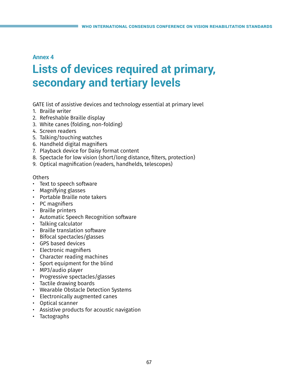#### **Annex 4**

# **Lists of devices required at primary, secondary and tertiary levels**

GATE list of assistive devices and technology essential at primary level

- 1. Braille writer
- 2. Refreshable Braille display
- 3. White canes (folding, non-folding)
- 4. Screen readers
- 5. Talking/touching watches
- 6. Handheld digital magnifiers
- 7. Playback device for Daisy format content
- 8. Spectacle for low vision (short/long distance, filters, protection)
- 9. Optical magnification (readers, handhelds, telescopes)

#### **Others**

- Text to speech software
- Magnifying glasses
- Portable Braille note takers
- PC magnifiers
- Braille printers
- Automatic Speech Recognition software
- Talking calculator
- Braille translation software
- Bifocal spectacles/glasses
- GPS based devices
- Electronic magnifiers
- Character reading machines
- Sport equipment for the blind
- MP3/audio player
- Progressive spectacles/glasses
- Tactile drawing boards
- Wearable Obstacle Detection Systems
- Electronically augmented canes
- Optical scanner
- Assistive products for acoustic navigation
- Tactographs